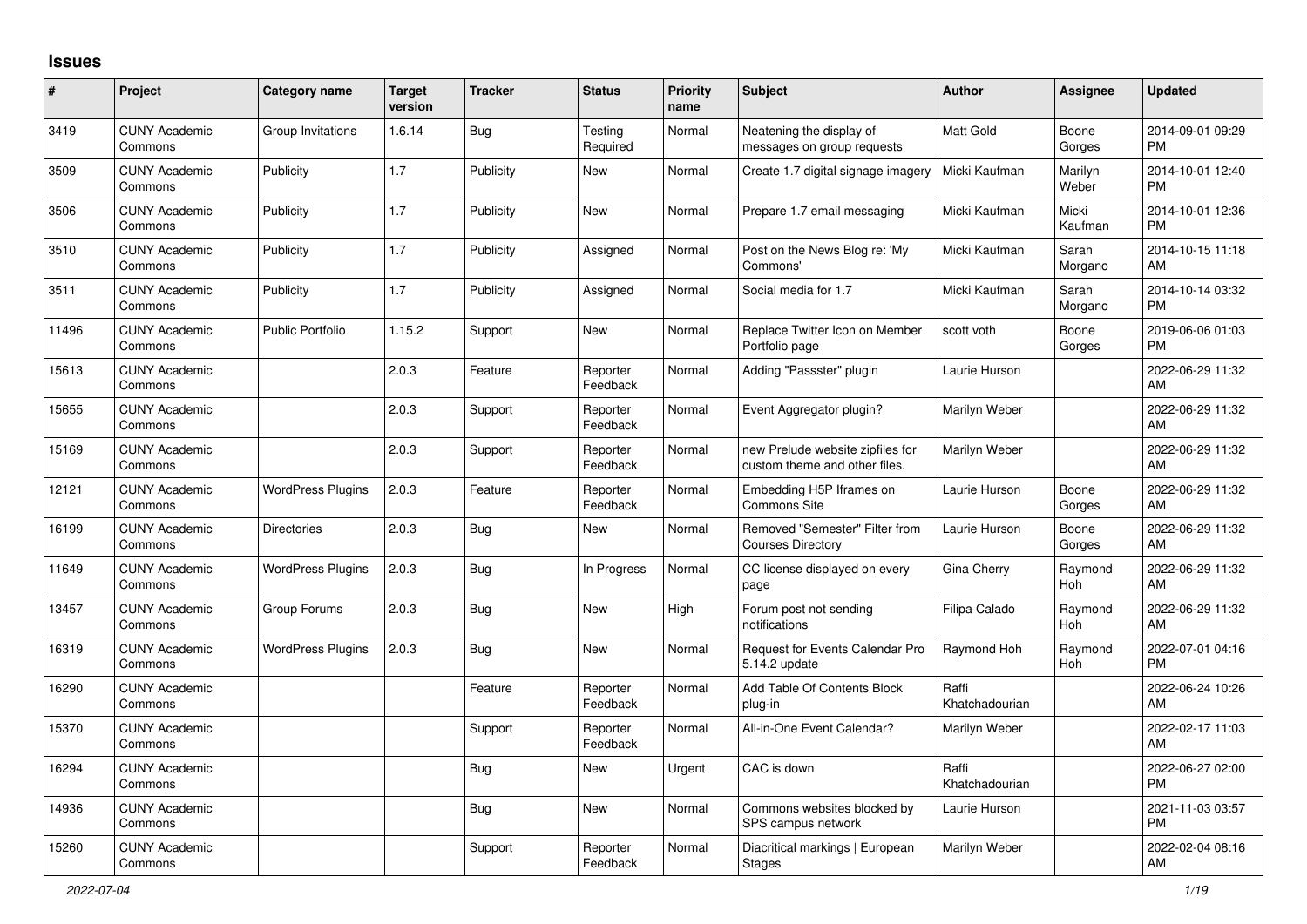## **Issues**

| $\vert$ # | Project                         | Category name            | <b>Target</b><br>version | <b>Tracker</b> | <b>Status</b>        | <b>Priority</b><br>name | <b>Subject</b>                                                    | <b>Author</b>           | Assignee         | <b>Updated</b>                |
|-----------|---------------------------------|--------------------------|--------------------------|----------------|----------------------|-------------------------|-------------------------------------------------------------------|-------------------------|------------------|-------------------------------|
| 3419      | <b>CUNY Academic</b><br>Commons | Group Invitations        | 1.6.14                   | Bug            | Testing<br>Required  | Normal                  | Neatening the display of<br>messages on group requests            | <b>Matt Gold</b>        | Boone<br>Gorges  | 2014-09-01 09:29<br><b>PM</b> |
| 3509      | <b>CUNY Academic</b><br>Commons | Publicity                | 1.7                      | Publicity      | New                  | Normal                  | Create 1.7 digital signage imagery                                | Micki Kaufman           | Marilyn<br>Weber | 2014-10-01 12:40<br><b>PM</b> |
| 3506      | <b>CUNY Academic</b><br>Commons | Publicity                | 1.7                      | Publicity      | New                  | Normal                  | Prepare 1.7 email messaging                                       | Micki Kaufman           | Micki<br>Kaufman | 2014-10-01 12:36<br><b>PM</b> |
| 3510      | <b>CUNY Academic</b><br>Commons | Publicity                | 1.7                      | Publicity      | Assigned             | Normal                  | Post on the News Blog re: 'My<br>Commons'                         | Micki Kaufman           | Sarah<br>Morgano | 2014-10-15 11:18<br>AM        |
| 3511      | <b>CUNY Academic</b><br>Commons | Publicity                | 1.7                      | Publicity      | Assigned             | Normal                  | Social media for 1.7                                              | Micki Kaufman           | Sarah<br>Morgano | 2014-10-14 03:32<br><b>PM</b> |
| 11496     | <b>CUNY Academic</b><br>Commons | <b>Public Portfolio</b>  | 1.15.2                   | Support        | New                  | Normal                  | Replace Twitter Icon on Member<br>Portfolio page                  | scott voth              | Boone<br>Gorges  | 2019-06-06 01:03<br><b>PM</b> |
| 15613     | <b>CUNY Academic</b><br>Commons |                          | 2.0.3                    | Feature        | Reporter<br>Feedback | Normal                  | Adding "Passster" plugin                                          | Laurie Hurson           |                  | 2022-06-29 11:32<br>AM        |
| 15655     | <b>CUNY Academic</b><br>Commons |                          | 2.0.3                    | Support        | Reporter<br>Feedback | Normal                  | Event Aggregator plugin?                                          | Marilyn Weber           |                  | 2022-06-29 11:32<br>AM        |
| 15169     | <b>CUNY Academic</b><br>Commons |                          | 2.0.3                    | Support        | Reporter<br>Feedback | Normal                  | new Prelude website zipfiles for<br>custom theme and other files. | Marilyn Weber           |                  | 2022-06-29 11:32<br>AM        |
| 12121     | <b>CUNY Academic</b><br>Commons | <b>WordPress Plugins</b> | 2.0.3                    | Feature        | Reporter<br>Feedback | Normal                  | Embedding H5P Iframes on<br><b>Commons Site</b>                   | Laurie Hurson           | Boone<br>Gorges  | 2022-06-29 11:32<br>AM        |
| 16199     | <b>CUNY Academic</b><br>Commons | <b>Directories</b>       | 2.0.3                    | <b>Bug</b>     | New                  | Normal                  | Removed "Semester" Filter from<br><b>Courses Directory</b>        | Laurie Hurson           | Boone<br>Gorges  | 2022-06-29 11:32<br>AM        |
| 11649     | <b>CUNY Academic</b><br>Commons | <b>WordPress Plugins</b> | 2.0.3                    | Bug            | In Progress          | Normal                  | CC license displayed on every<br>page                             | Gina Cherry             | Raymond<br>Hoh   | 2022-06-29 11:32<br>AM        |
| 13457     | <b>CUNY Academic</b><br>Commons | Group Forums             | 2.0.3                    | Bug            | New                  | High                    | Forum post not sending<br>notifications                           | Filipa Calado           | Raymond<br>Hoh   | 2022-06-29 11:32<br>AM        |
| 16319     | <b>CUNY Academic</b><br>Commons | <b>WordPress Plugins</b> | 2.0.3                    | Bug            | <b>New</b>           | Normal                  | <b>Request for Events Calendar Pro</b><br>5.14.2 update           | Raymond Hoh             | Raymond<br>Hoh   | 2022-07-01 04:16<br><b>PM</b> |
| 16290     | <b>CUNY Academic</b><br>Commons |                          |                          | Feature        | Reporter<br>Feedback | Normal                  | Add Table Of Contents Block<br>plug-in                            | Raffi<br>Khatchadourian |                  | 2022-06-24 10:26<br>AM        |
| 15370     | <b>CUNY Academic</b><br>Commons |                          |                          | Support        | Reporter<br>Feedback | Normal                  | All-in-One Event Calendar?                                        | Marilyn Weber           |                  | 2022-02-17 11:03<br>AM        |
| 16294     | <b>CUNY Academic</b><br>Commons |                          |                          | <b>Bug</b>     | New                  | Urgent                  | CAC is down                                                       | Raffi<br>Khatchadourian |                  | 2022-06-27 02:00<br><b>PM</b> |
| 14936     | <b>CUNY Academic</b><br>Commons |                          |                          | <b>Bug</b>     | <b>New</b>           | Normal                  | Commons websites blocked by<br>SPS campus network                 | Laurie Hurson           |                  | 2021-11-03 03:57<br><b>PM</b> |
| 15260     | <b>CUNY Academic</b><br>Commons |                          |                          | Support        | Reporter<br>Feedback | Normal                  | Diacritical markings   European<br><b>Stages</b>                  | Marilyn Weber           |                  | 2022-02-04 08:16<br>AM        |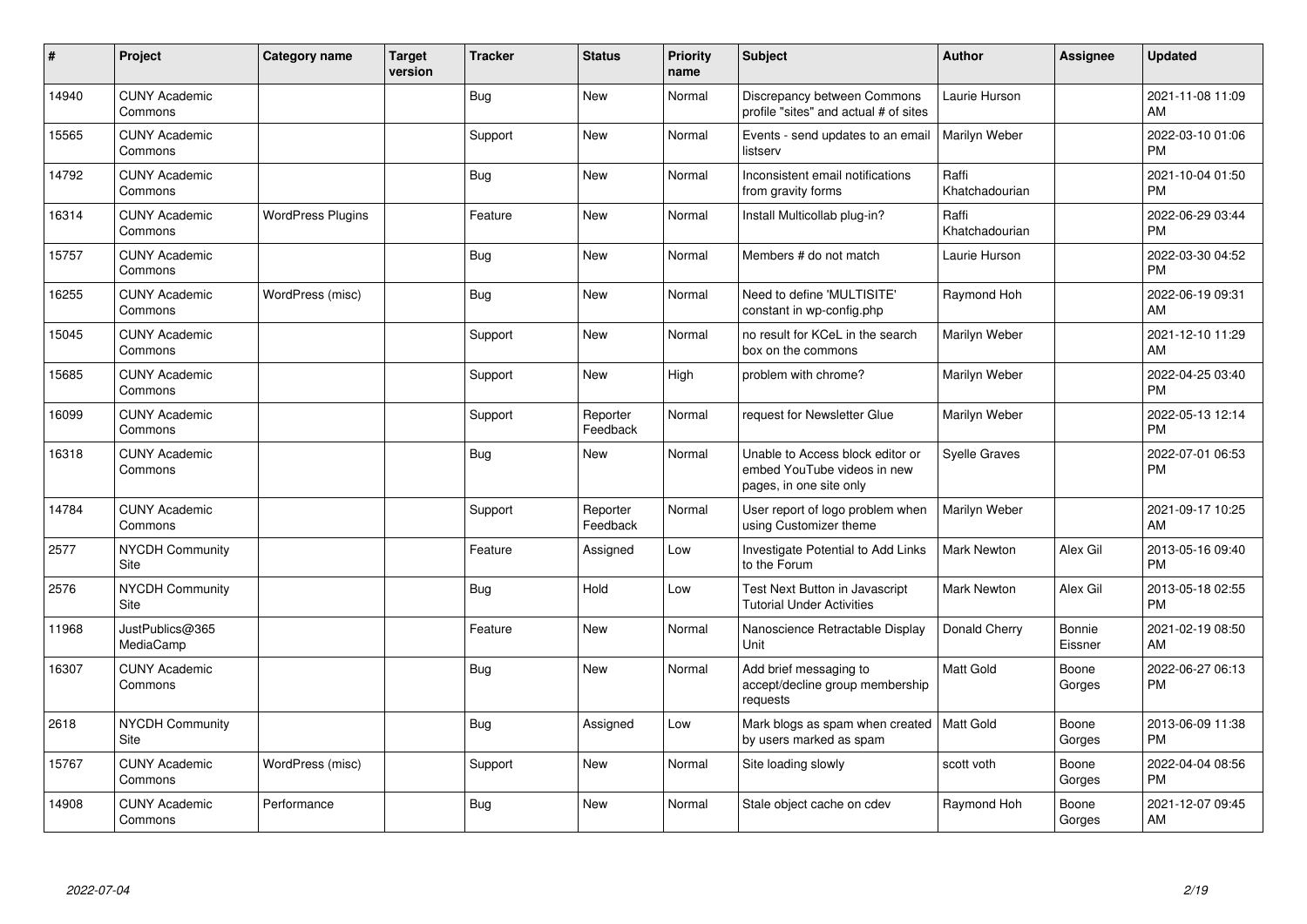| #     | Project                         | <b>Category name</b>     | <b>Target</b><br>version | <b>Tracker</b> | <b>Status</b>        | Priority<br>name | <b>Subject</b>                                                                             | <b>Author</b>           | Assignee          | <b>Updated</b>                |
|-------|---------------------------------|--------------------------|--------------------------|----------------|----------------------|------------------|--------------------------------------------------------------------------------------------|-------------------------|-------------------|-------------------------------|
| 14940 | <b>CUNY Academic</b><br>Commons |                          |                          | Bug            | New                  | Normal           | Discrepancy between Commons<br>profile "sites" and actual # of sites                       | Laurie Hurson           |                   | 2021-11-08 11:09<br>AM        |
| 15565 | <b>CUNY Academic</b><br>Commons |                          |                          | Support        | New                  | Normal           | Events - send updates to an email<br>listserv                                              | Marilyn Weber           |                   | 2022-03-10 01:06<br><b>PM</b> |
| 14792 | <b>CUNY Academic</b><br>Commons |                          |                          | Bug            | New                  | Normal           | Inconsistent email notifications<br>from gravity forms                                     | Raffi<br>Khatchadourian |                   | 2021-10-04 01:50<br><b>PM</b> |
| 16314 | <b>CUNY Academic</b><br>Commons | <b>WordPress Plugins</b> |                          | Feature        | <b>New</b>           | Normal           | Install Multicollab plug-in?                                                               | Raffi<br>Khatchadourian |                   | 2022-06-29 03:44<br><b>PM</b> |
| 15757 | <b>CUNY Academic</b><br>Commons |                          |                          | <b>Bug</b>     | <b>New</b>           | Normal           | Members # do not match                                                                     | Laurie Hurson           |                   | 2022-03-30 04:52<br><b>PM</b> |
| 16255 | <b>CUNY Academic</b><br>Commons | WordPress (misc)         |                          | Bug            | <b>New</b>           | Normal           | Need to define 'MULTISITE'<br>constant in wp-config.php                                    | Raymond Hoh             |                   | 2022-06-19 09:31<br>AM        |
| 15045 | <b>CUNY Academic</b><br>Commons |                          |                          | Support        | <b>New</b>           | Normal           | no result for KCeL in the search<br>box on the commons                                     | Marilyn Weber           |                   | 2021-12-10 11:29<br>AM        |
| 15685 | <b>CUNY Academic</b><br>Commons |                          |                          | Support        | New                  | High             | problem with chrome?                                                                       | Marilyn Weber           |                   | 2022-04-25 03:40<br><b>PM</b> |
| 16099 | <b>CUNY Academic</b><br>Commons |                          |                          | Support        | Reporter<br>Feedback | Normal           | request for Newsletter Glue                                                                | Marilyn Weber           |                   | 2022-05-13 12:14<br><b>PM</b> |
| 16318 | <b>CUNY Academic</b><br>Commons |                          |                          | Bug            | New                  | Normal           | Unable to Access block editor or<br>embed YouTube videos in new<br>pages, in one site only | <b>Syelle Graves</b>    |                   | 2022-07-01 06:53<br><b>PM</b> |
| 14784 | <b>CUNY Academic</b><br>Commons |                          |                          | Support        | Reporter<br>Feedback | Normal           | User report of logo problem when<br>using Customizer theme                                 | Marilyn Weber           |                   | 2021-09-17 10:25<br>AM        |
| 2577  | <b>NYCDH Community</b><br>Site  |                          |                          | Feature        | Assigned             | Low              | Investigate Potential to Add Links<br>to the Forum                                         | Mark Newton             | Alex Gil          | 2013-05-16 09:40<br><b>PM</b> |
| 2576  | <b>NYCDH Community</b><br>Site  |                          |                          | Bug            | Hold                 | Low              | Test Next Button in Javascript<br><b>Tutorial Under Activities</b>                         | Mark Newton             | Alex Gil          | 2013-05-18 02:55<br><b>PM</b> |
| 11968 | JustPublics@365<br>MediaCamp    |                          |                          | Feature        | <b>New</b>           | Normal           | Nanoscience Retractable Display<br>Unit                                                    | Donald Cherry           | Bonnie<br>Eissner | 2021-02-19 08:50<br>AM        |
| 16307 | <b>CUNY Academic</b><br>Commons |                          |                          | Bug            | <b>New</b>           | Normal           | Add brief messaging to<br>accept/decline group membership<br>requests                      | <b>Matt Gold</b>        | Boone<br>Gorges   | 2022-06-27 06:13<br><b>PM</b> |
| 2618  | NYCDH Community<br>Site         |                          |                          | Bug            | Assigned             | Low              | Mark blogs as spam when created<br>by users marked as spam                                 | Matt Gold               | Boone<br>Gorges   | 2013-06-09 11:38<br><b>PM</b> |
| 15767 | <b>CUNY Academic</b><br>Commons | WordPress (misc)         |                          | Support        | New                  | Normal           | Site loading slowly                                                                        | scott voth              | Boone<br>Gorges   | 2022-04-04 08:56<br><b>PM</b> |
| 14908 | <b>CUNY Academic</b><br>Commons | Performance              |                          | Bug            | New                  | Normal           | Stale object cache on cdev                                                                 | Raymond Hoh             | Boone<br>Gorges   | 2021-12-07 09:45<br>AM        |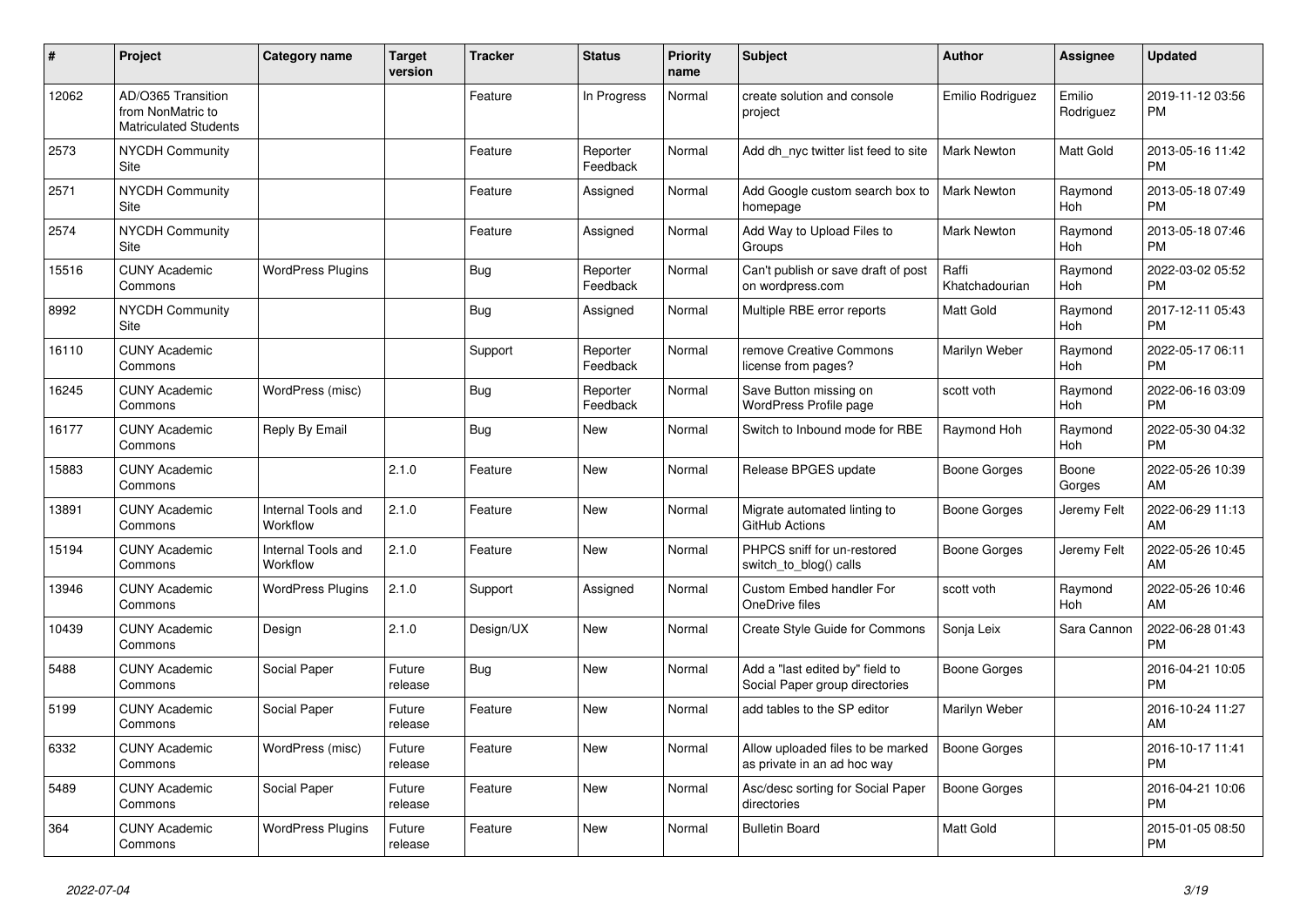| #     | Project                                                                 | <b>Category name</b>           | <b>Target</b><br>version | <b>Tracker</b> | <b>Status</b>        | <b>Priority</b><br>name | <b>Subject</b>                                                    | <b>Author</b>           | <b>Assignee</b>     | <b>Updated</b>                |
|-------|-------------------------------------------------------------------------|--------------------------------|--------------------------|----------------|----------------------|-------------------------|-------------------------------------------------------------------|-------------------------|---------------------|-------------------------------|
| 12062 | AD/O365 Transition<br>from NonMatric to<br><b>Matriculated Students</b> |                                |                          | Feature        | In Progress          | Normal                  | create solution and console<br>project                            | Emilio Rodriguez        | Emilio<br>Rodriguez | 2019-11-12 03:56<br><b>PM</b> |
| 2573  | <b>NYCDH Community</b><br>Site                                          |                                |                          | Feature        | Reporter<br>Feedback | Normal                  | Add dh nyc twitter list feed to site                              | <b>Mark Newton</b>      | Matt Gold           | 2013-05-16 11:42<br><b>PM</b> |
| 2571  | <b>NYCDH Community</b><br>Site                                          |                                |                          | Feature        | Assigned             | Normal                  | Add Google custom search box to<br>homepage                       | <b>Mark Newton</b>      | Raymond<br>Hoh      | 2013-05-18 07:49<br><b>PM</b> |
| 2574  | <b>NYCDH Community</b><br>Site                                          |                                |                          | Feature        | Assigned             | Normal                  | Add Way to Upload Files to<br>Groups                              | Mark Newton             | Raymond<br>Hoh      | 2013-05-18 07:46<br><b>PM</b> |
| 15516 | <b>CUNY Academic</b><br>Commons                                         | <b>WordPress Plugins</b>       |                          | <b>Bug</b>     | Reporter<br>Feedback | Normal                  | Can't publish or save draft of post<br>on wordpress.com           | Raffi<br>Khatchadourian | Raymond<br>Hoh      | 2022-03-02 05:52<br><b>PM</b> |
| 8992  | <b>NYCDH Community</b><br>Site                                          |                                |                          | Bug            | Assigned             | Normal                  | Multiple RBE error reports                                        | <b>Matt Gold</b>        | Raymond<br>Hoh      | 2017-12-11 05:43<br><b>PM</b> |
| 16110 | <b>CUNY Academic</b><br>Commons                                         |                                |                          | Support        | Reporter<br>Feedback | Normal                  | remove Creative Commons<br>license from pages?                    | Marilyn Weber           | Raymond<br>Hoh      | 2022-05-17 06:11<br><b>PM</b> |
| 16245 | <b>CUNY Academic</b><br>Commons                                         | WordPress (misc)               |                          | Bug            | Reporter<br>Feedback | Normal                  | Save Button missing on<br>WordPress Profile page                  | scott voth              | Raymond<br>Hoh      | 2022-06-16 03:09<br><b>PM</b> |
| 16177 | <b>CUNY Academic</b><br>Commons                                         | Reply By Email                 |                          | <b>Bug</b>     | New                  | Normal                  | Switch to Inbound mode for RBE                                    | Raymond Hoh             | Raymond<br>Hoh      | 2022-05-30 04:32<br><b>PM</b> |
| 15883 | <b>CUNY Academic</b><br>Commons                                         |                                | 2.1.0                    | Feature        | <b>New</b>           | Normal                  | Release BPGES update                                              | Boone Gorges            | Boone<br>Gorges     | 2022-05-26 10:39<br>AM        |
| 13891 | <b>CUNY Academic</b><br>Commons                                         | Internal Tools and<br>Workflow | 2.1.0                    | Feature        | New                  | Normal                  | Migrate automated linting to<br>GitHub Actions                    | Boone Gorges            | Jeremy Felt         | 2022-06-29 11:13<br>AM        |
| 15194 | <b>CUNY Academic</b><br>Commons                                         | Internal Tools and<br>Workflow | 2.1.0                    | Feature        | <b>New</b>           | Normal                  | PHPCS sniff for un-restored<br>switch to blog() calls             | Boone Gorges            | Jeremy Felt         | 2022-05-26 10:45<br>AM        |
| 13946 | <b>CUNY Academic</b><br>Commons                                         | <b>WordPress Plugins</b>       | 2.1.0                    | Support        | Assigned             | Normal                  | Custom Embed handler For<br>OneDrive files                        | scott voth              | Raymond<br>Hoh      | 2022-05-26 10:46<br>AM        |
| 10439 | <b>CUNY Academic</b><br>Commons                                         | Design                         | 2.1.0                    | Design/UX      | New                  | Normal                  | Create Style Guide for Commons                                    | Sonja Leix              | Sara Cannon         | 2022-06-28 01:43<br><b>PM</b> |
| 5488  | <b>CUNY Academic</b><br>Commons                                         | Social Paper                   | Future<br>release        | Bug            | New                  | Normal                  | Add a "last edited by" field to<br>Social Paper group directories | Boone Gorges            |                     | 2016-04-21 10:05<br><b>PM</b> |
| 5199  | <b>CUNY Academic</b><br>Commons                                         | Social Paper                   | Future<br>release        | Feature        | <b>New</b>           | Normal                  | add tables to the SP editor                                       | Marilyn Weber           |                     | 2016-10-24 11:27<br>AM        |
| 6332  | <b>CUNY Academic</b><br>Commons                                         | WordPress (misc)               | Future<br>release        | Feature        | <b>New</b>           | Normal                  | Allow uploaded files to be marked<br>as private in an ad hoc way  | Boone Gorges            |                     | 2016-10-17 11:41<br><b>PM</b> |
| 5489  | <b>CUNY Academic</b><br>Commons                                         | Social Paper                   | Future<br>release        | Feature        | New                  | Normal                  | Asc/desc sorting for Social Paper<br>directories                  | Boone Gorges            |                     | 2016-04-21 10:06<br><b>PM</b> |
| 364   | <b>CUNY Academic</b><br>Commons                                         | <b>WordPress Plugins</b>       | Future<br>release        | Feature        | <b>New</b>           | Normal                  | <b>Bulletin Board</b>                                             | <b>Matt Gold</b>        |                     | 2015-01-05 08:50<br><b>PM</b> |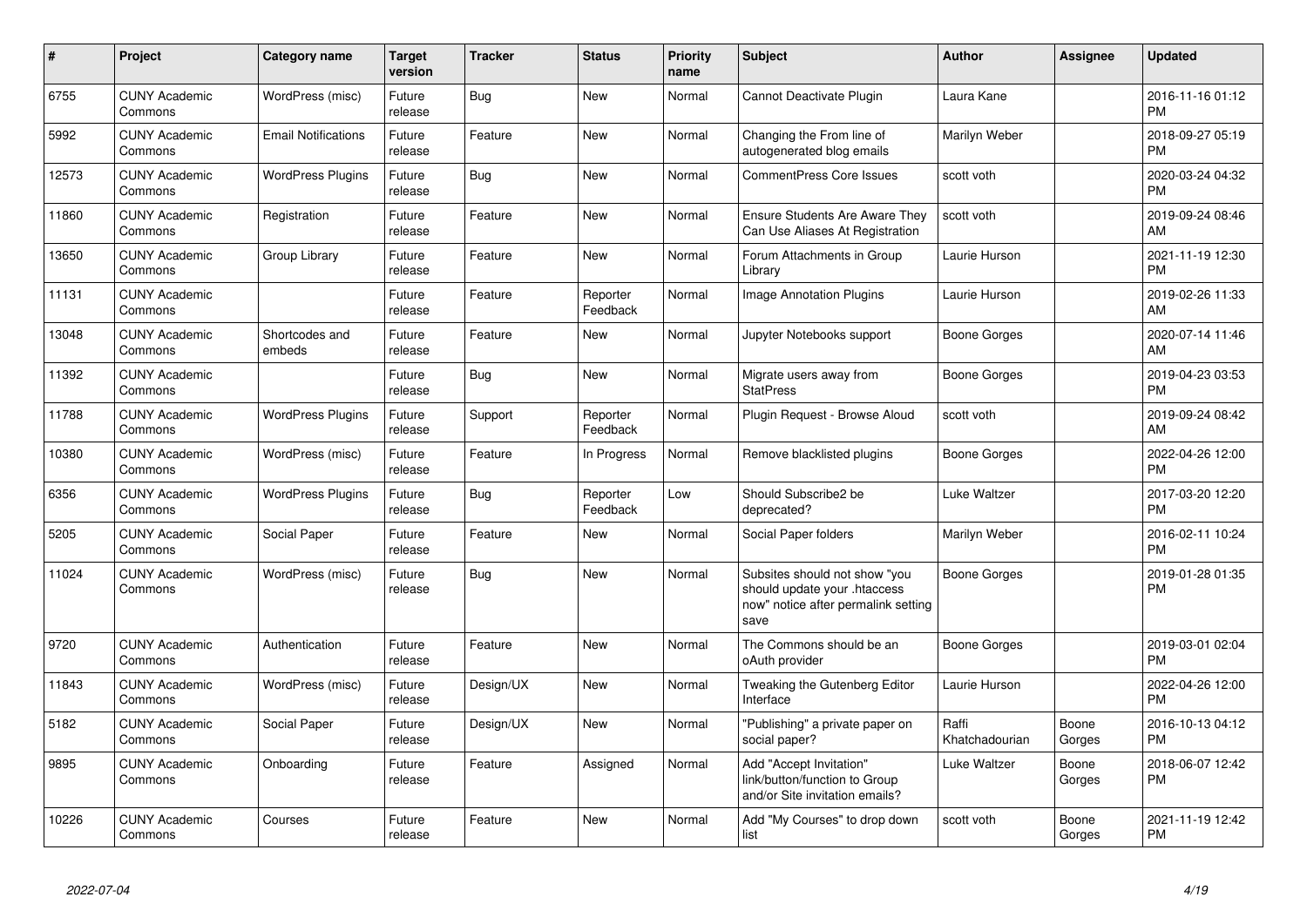| $\pmb{\sharp}$ | Project                         | <b>Category name</b>       | Target<br>version | <b>Tracker</b> | <b>Status</b>        | <b>Priority</b><br>name | <b>Subject</b>                                                                                               | <b>Author</b>           | Assignee        | <b>Updated</b>                |
|----------------|---------------------------------|----------------------------|-------------------|----------------|----------------------|-------------------------|--------------------------------------------------------------------------------------------------------------|-------------------------|-----------------|-------------------------------|
| 6755           | <b>CUNY Academic</b><br>Commons | WordPress (misc)           | Future<br>release | Bug            | <b>New</b>           | Normal                  | <b>Cannot Deactivate Plugin</b>                                                                              | Laura Kane              |                 | 2016-11-16 01:12<br><b>PM</b> |
| 5992           | <b>CUNY Academic</b><br>Commons | <b>Email Notifications</b> | Future<br>release | Feature        | <b>New</b>           | Normal                  | Changing the From line of<br>autogenerated blog emails                                                       | Marilyn Weber           |                 | 2018-09-27 05:19<br><b>PM</b> |
| 12573          | <b>CUNY Academic</b><br>Commons | <b>WordPress Plugins</b>   | Future<br>release | <b>Bug</b>     | New                  | Normal                  | <b>CommentPress Core Issues</b>                                                                              | scott voth              |                 | 2020-03-24 04:32<br><b>PM</b> |
| 11860          | <b>CUNY Academic</b><br>Commons | Registration               | Future<br>release | Feature        | New                  | Normal                  | <b>Ensure Students Are Aware They</b><br>Can Use Aliases At Registration                                     | scott voth              |                 | 2019-09-24 08:46<br><b>AM</b> |
| 13650          | <b>CUNY Academic</b><br>Commons | Group Library              | Future<br>release | Feature        | New                  | Normal                  | Forum Attachments in Group<br>Library                                                                        | Laurie Hurson           |                 | 2021-11-19 12:30<br><b>PM</b> |
| 11131          | <b>CUNY Academic</b><br>Commons |                            | Future<br>release | Feature        | Reporter<br>Feedback | Normal                  | <b>Image Annotation Plugins</b>                                                                              | Laurie Hurson           |                 | 2019-02-26 11:33<br>AM        |
| 13048          | <b>CUNY Academic</b><br>Commons | Shortcodes and<br>embeds   | Future<br>release | Feature        | New                  | Normal                  | Jupyter Notebooks support                                                                                    | Boone Gorges            |                 | 2020-07-14 11:46<br>AM        |
| 11392          | <b>CUNY Academic</b><br>Commons |                            | Future<br>release | <b>Bug</b>     | <b>New</b>           | Normal                  | Migrate users away from<br><b>StatPress</b>                                                                  | Boone Gorges            |                 | 2019-04-23 03:53<br><b>PM</b> |
| 11788          | <b>CUNY Academic</b><br>Commons | <b>WordPress Plugins</b>   | Future<br>release | Support        | Reporter<br>Feedback | Normal                  | Plugin Request - Browse Aloud                                                                                | scott voth              |                 | 2019-09-24 08:42<br>AM        |
| 10380          | <b>CUNY Academic</b><br>Commons | WordPress (misc)           | Future<br>release | Feature        | In Progress          | Normal                  | Remove blacklisted plugins                                                                                   | Boone Gorges            |                 | 2022-04-26 12:00<br><b>PM</b> |
| 6356           | <b>CUNY Academic</b><br>Commons | <b>WordPress Plugins</b>   | Future<br>release | Bug            | Reporter<br>Feedback | Low                     | Should Subscribe2 be<br>deprecated?                                                                          | Luke Waltzer            |                 | 2017-03-20 12:20<br><b>PM</b> |
| 5205           | <b>CUNY Academic</b><br>Commons | Social Paper               | Future<br>release | Feature        | <b>New</b>           | Normal                  | Social Paper folders                                                                                         | Marilyn Weber           |                 | 2016-02-11 10:24<br><b>PM</b> |
| 11024          | <b>CUNY Academic</b><br>Commons | WordPress (misc)           | Future<br>release | <b>Bug</b>     | <b>New</b>           | Normal                  | Subsites should not show "you<br>should update your .htaccess<br>now" notice after permalink setting<br>save | Boone Gorges            |                 | 2019-01-28 01:35<br><b>PM</b> |
| 9720           | <b>CUNY Academic</b><br>Commons | Authentication             | Future<br>release | Feature        | New                  | Normal                  | The Commons should be an<br>oAuth provider                                                                   | Boone Gorges            |                 | 2019-03-01 02:04<br><b>PM</b> |
| 11843          | <b>CUNY Academic</b><br>Commons | WordPress (misc)           | Future<br>release | Design/UX      | New                  | Normal                  | Tweaking the Gutenberg Editor<br>Interface                                                                   | Laurie Hurson           |                 | 2022-04-26 12:00<br><b>PM</b> |
| 5182           | <b>CUNY Academic</b><br>Commons | Social Paper               | Future<br>release | Design/UX      | <b>New</b>           | Normal                  | "Publishing" a private paper on<br>social paper?                                                             | Raffi<br>Khatchadourian | Boone<br>Gorges | 2016-10-13 04:12<br><b>PM</b> |
| 9895           | <b>CUNY Academic</b><br>Commons | Onboarding                 | Future<br>release | Feature        | Assigned             | Normal                  | Add "Accept Invitation"<br>link/button/function to Group<br>and/or Site invitation emails?                   | Luke Waltzer            | Boone<br>Gorges | 2018-06-07 12:42<br>PM        |
| 10226          | <b>CUNY Academic</b><br>Commons | Courses                    | Future<br>release | Feature        | New                  | Normal                  | Add "My Courses" to drop down<br>list                                                                        | scott voth              | Boone<br>Gorges | 2021-11-19 12:42<br><b>PM</b> |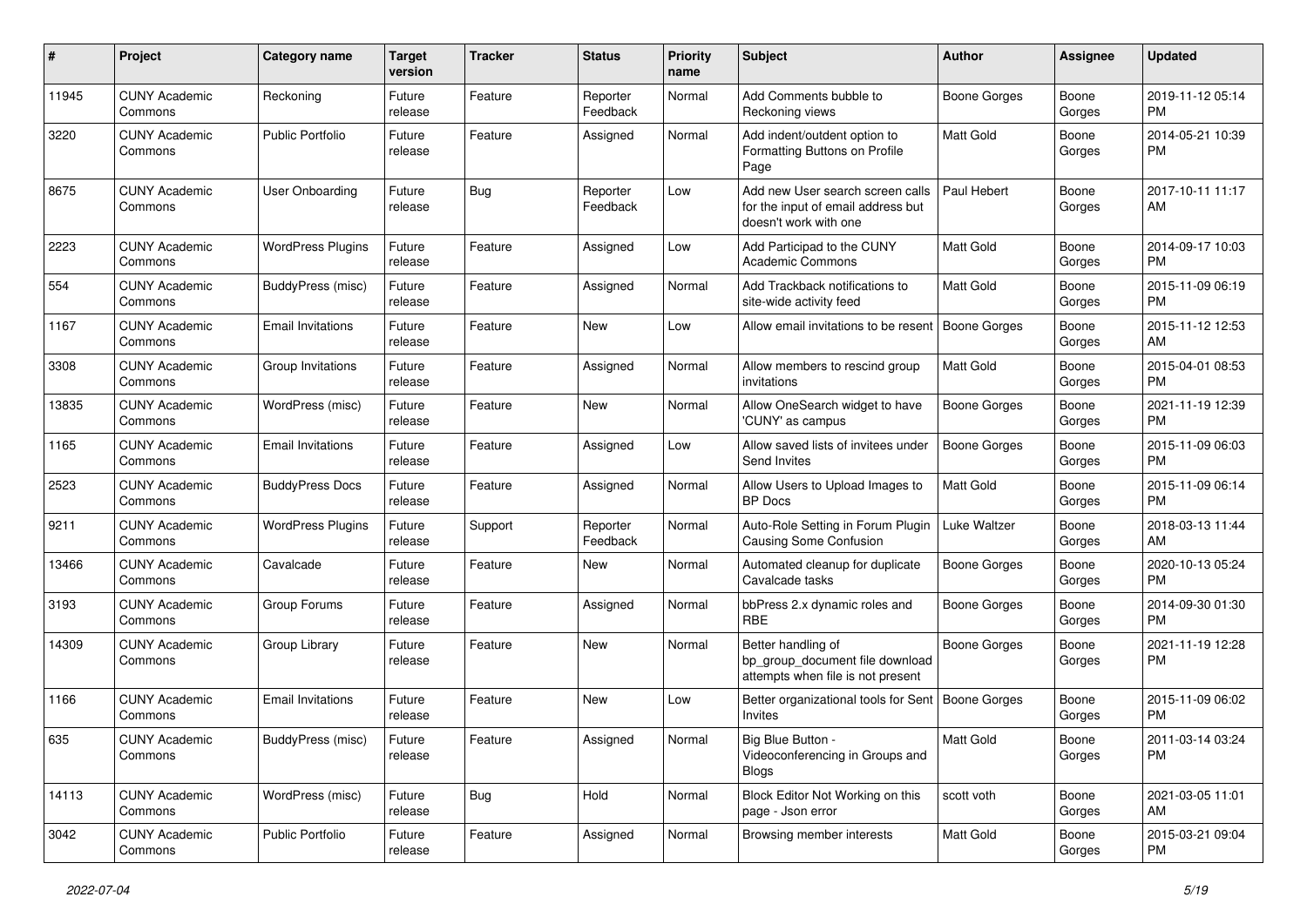| #     | Project                         | <b>Category name</b>     | <b>Target</b><br>version | <b>Tracker</b> | <b>Status</b>        | <b>Priority</b><br>name | <b>Subject</b>                                                                                  | Author              | Assignee        | <b>Updated</b>                |
|-------|---------------------------------|--------------------------|--------------------------|----------------|----------------------|-------------------------|-------------------------------------------------------------------------------------------------|---------------------|-----------------|-------------------------------|
| 11945 | <b>CUNY Academic</b><br>Commons | Reckoning                | Future<br>release        | Feature        | Reporter<br>Feedback | Normal                  | Add Comments bubble to<br>Reckoning views                                                       | <b>Boone Gorges</b> | Boone<br>Gorges | 2019-11-12 05:14<br><b>PM</b> |
| 3220  | <b>CUNY Academic</b><br>Commons | <b>Public Portfolio</b>  | Future<br>release        | Feature        | Assigned             | Normal                  | Add indent/outdent option to<br>Formatting Buttons on Profile<br>Page                           | <b>Matt Gold</b>    | Boone<br>Gorges | 2014-05-21 10:39<br><b>PM</b> |
| 8675  | <b>CUNY Academic</b><br>Commons | User Onboarding          | Future<br>release        | Bug            | Reporter<br>Feedback | Low                     | Add new User search screen calls<br>for the input of email address but<br>doesn't work with one | Paul Hebert         | Boone<br>Gorges | 2017-10-11 11:17<br>AM        |
| 2223  | <b>CUNY Academic</b><br>Commons | <b>WordPress Plugins</b> | Future<br>release        | Feature        | Assigned             | Low                     | Add Participad to the CUNY<br><b>Academic Commons</b>                                           | <b>Matt Gold</b>    | Boone<br>Gorges | 2014-09-17 10:03<br><b>PM</b> |
| 554   | <b>CUNY Academic</b><br>Commons | BuddyPress (misc)        | Future<br>release        | Feature        | Assigned             | Normal                  | Add Trackback notifications to<br>site-wide activity feed                                       | Matt Gold           | Boone<br>Gorges | 2015-11-09 06:19<br>PM.       |
| 1167  | <b>CUNY Academic</b><br>Commons | <b>Email Invitations</b> | Future<br>release        | Feature        | <b>New</b>           | Low                     | Allow email invitations to be resent                                                            | Boone Gorges        | Boone<br>Gorges | 2015-11-12 12:53<br>AM        |
| 3308  | <b>CUNY Academic</b><br>Commons | Group Invitations        | Future<br>release        | Feature        | Assigned             | Normal                  | Allow members to rescind group<br>invitations                                                   | <b>Matt Gold</b>    | Boone<br>Gorges | 2015-04-01 08:53<br><b>PM</b> |
| 13835 | <b>CUNY Academic</b><br>Commons | WordPress (misc)         | Future<br>release        | Feature        | New                  | Normal                  | Allow OneSearch widget to have<br>'CUNY' as campus                                              | <b>Boone Gorges</b> | Boone<br>Gorges | 2021-11-19 12:39<br><b>PM</b> |
| 1165  | <b>CUNY Academic</b><br>Commons | <b>Email Invitations</b> | Future<br>release        | Feature        | Assigned             | Low                     | Allow saved lists of invitees under<br>Send Invites                                             | <b>Boone Gorges</b> | Boone<br>Gorges | 2015-11-09 06:03<br><b>PM</b> |
| 2523  | <b>CUNY Academic</b><br>Commons | <b>BuddyPress Docs</b>   | Future<br>release        | Feature        | Assigned             | Normal                  | Allow Users to Upload Images to<br><b>BP</b> Docs                                               | <b>Matt Gold</b>    | Boone<br>Gorges | 2015-11-09 06:14<br><b>PM</b> |
| 9211  | <b>CUNY Academic</b><br>Commons | <b>WordPress Plugins</b> | Future<br>release        | Support        | Reporter<br>Feedback | Normal                  | Auto-Role Setting in Forum Plugin<br>Causing Some Confusion                                     | Luke Waltzer        | Boone<br>Gorges | 2018-03-13 11:44<br>AM        |
| 13466 | <b>CUNY Academic</b><br>Commons | Cavalcade                | Future<br>release        | Feature        | New                  | Normal                  | Automated cleanup for duplicate<br>Cavalcade tasks                                              | <b>Boone Gorges</b> | Boone<br>Gorges | 2020-10-13 05:24<br>PM.       |
| 3193  | <b>CUNY Academic</b><br>Commons | Group Forums             | Future<br>release        | Feature        | Assigned             | Normal                  | bbPress 2.x dynamic roles and<br><b>RBE</b>                                                     | Boone Gorges        | Boone<br>Gorges | 2014-09-30 01:30<br>PM.       |
| 14309 | <b>CUNY Academic</b><br>Commons | Group Library            | Future<br>release        | Feature        | <b>New</b>           | Normal                  | Better handling of<br>bp_group_document file download<br>attempts when file is not present      | <b>Boone Gorges</b> | Boone<br>Gorges | 2021-11-19 12:28<br><b>PM</b> |
| 1166  | <b>CUNY Academic</b><br>Commons | <b>Email Invitations</b> | Future<br>release        | Feature        | <b>New</b>           | Low                     | Better organizational tools for Sent   Boone Gorges<br><b>Invites</b>                           |                     | Boone<br>Gorges | 2015-11-09 06:02<br><b>PM</b> |
| 635   | <b>CUNY Academic</b><br>Commons | BuddyPress (misc)        | Future<br>release        | Feature        | Assigned             | Normal                  | Big Blue Button -<br>Videoconferencing in Groups and<br><b>Blogs</b>                            | Matt Gold           | Boone<br>Gorges | 2011-03-14 03:24<br><b>PM</b> |
| 14113 | <b>CUNY Academic</b><br>Commons | WordPress (misc)         | Future<br>release        | Bug            | Hold                 | Normal                  | Block Editor Not Working on this<br>page - Json error                                           | scott voth          | Boone<br>Gorges | 2021-03-05 11:01<br>AM        |
| 3042  | <b>CUNY Academic</b><br>Commons | Public Portfolio         | Future<br>release        | Feature        | Assigned             | Normal                  | Browsing member interests                                                                       | Matt Gold           | Boone<br>Gorges | 2015-03-21 09:04<br><b>PM</b> |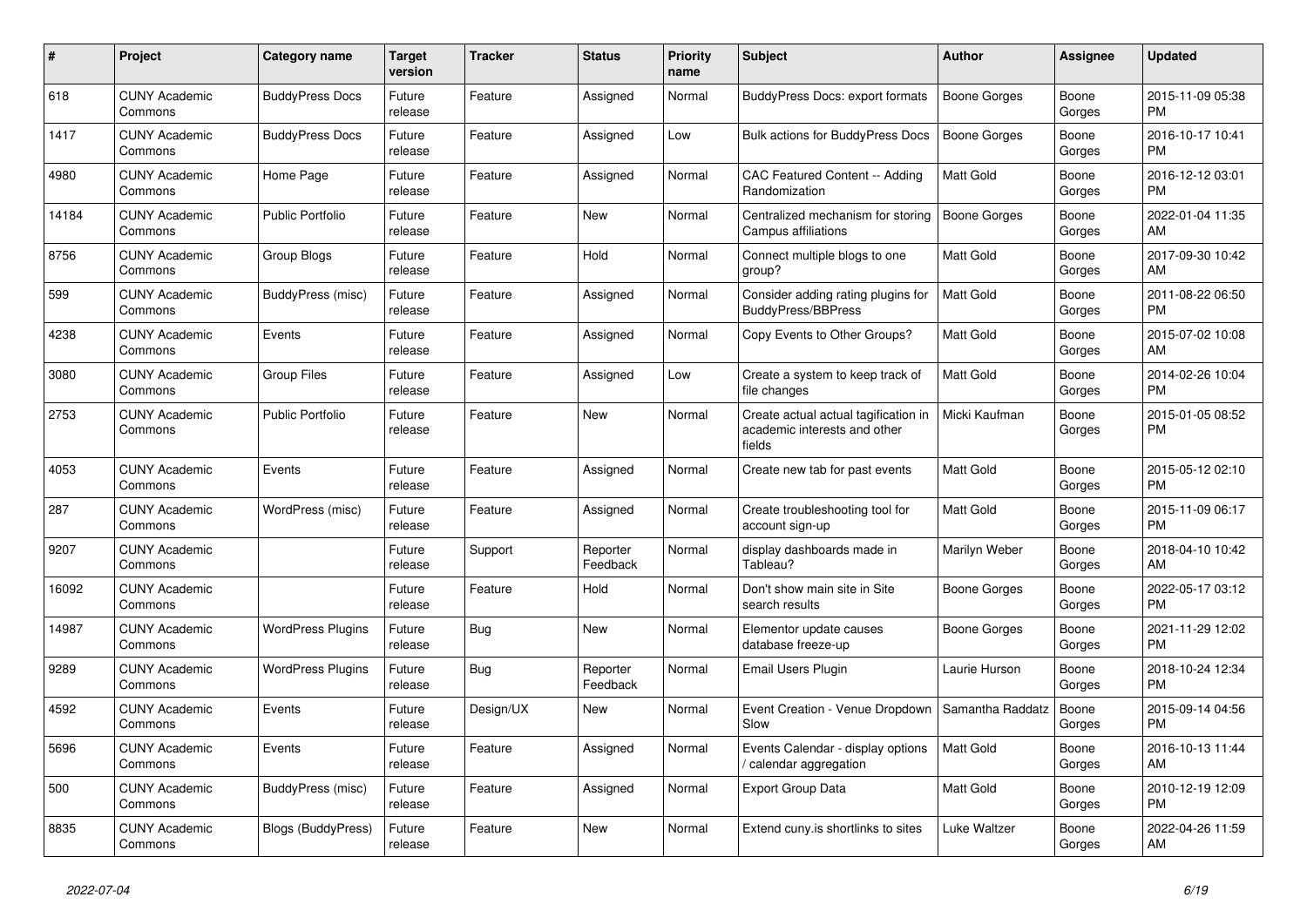| #     | Project                         | <b>Category name</b>     | <b>Target</b><br>version | <b>Tracker</b> | <b>Status</b>        | <b>Priority</b><br>name | <b>Subject</b>                                                                 | <b>Author</b>       | Assignee        | <b>Updated</b>                |
|-------|---------------------------------|--------------------------|--------------------------|----------------|----------------------|-------------------------|--------------------------------------------------------------------------------|---------------------|-----------------|-------------------------------|
| 618   | <b>CUNY Academic</b><br>Commons | <b>BuddyPress Docs</b>   | Future<br>release        | Feature        | Assigned             | Normal                  | BuddyPress Docs: export formats                                                | <b>Boone Gorges</b> | Boone<br>Gorges | 2015-11-09 05:38<br><b>PM</b> |
| 1417  | <b>CUNY Academic</b><br>Commons | <b>BuddyPress Docs</b>   | Future<br>release        | Feature        | Assigned             | Low                     | Bulk actions for BuddyPress Docs                                               | Boone Gorges        | Boone<br>Gorges | 2016-10-17 10:41<br><b>PM</b> |
| 4980  | <b>CUNY Academic</b><br>Commons | Home Page                | Future<br>release        | Feature        | Assigned             | Normal                  | CAC Featured Content -- Adding<br>Randomization                                | <b>Matt Gold</b>    | Boone<br>Gorges | 2016-12-12 03:01<br><b>PM</b> |
| 14184 | <b>CUNY Academic</b><br>Commons | <b>Public Portfolio</b>  | Future<br>release        | Feature        | <b>New</b>           | Normal                  | Centralized mechanism for storing<br><b>Campus affiliations</b>                | <b>Boone Gorges</b> | Boone<br>Gorges | 2022-01-04 11:35<br>AM        |
| 8756  | <b>CUNY Academic</b><br>Commons | Group Blogs              | Future<br>release        | Feature        | Hold                 | Normal                  | Connect multiple blogs to one<br>group?                                        | Matt Gold           | Boone<br>Gorges | 2017-09-30 10:42<br>AM        |
| 599   | <b>CUNY Academic</b><br>Commons | BuddyPress (misc)        | Future<br>release        | Feature        | Assigned             | Normal                  | Consider adding rating plugins for<br><b>BuddyPress/BBPress</b>                | <b>Matt Gold</b>    | Boone<br>Gorges | 2011-08-22 06:50<br><b>PM</b> |
| 4238  | <b>CUNY Academic</b><br>Commons | Events                   | Future<br>release        | Feature        | Assigned             | Normal                  | Copy Events to Other Groups?                                                   | <b>Matt Gold</b>    | Boone<br>Gorges | 2015-07-02 10:08<br>AM        |
| 3080  | <b>CUNY Academic</b><br>Commons | <b>Group Files</b>       | Future<br>release        | Feature        | Assigned             | Low                     | Create a system to keep track of<br>file changes                               | <b>Matt Gold</b>    | Boone<br>Gorges | 2014-02-26 10:04<br><b>PM</b> |
| 2753  | <b>CUNY Academic</b><br>Commons | <b>Public Portfolio</b>  | Future<br>release        | Feature        | New                  | Normal                  | Create actual actual tagification in<br>academic interests and other<br>fields | Micki Kaufman       | Boone<br>Gorges | 2015-01-05 08:52<br><b>PM</b> |
| 4053  | <b>CUNY Academic</b><br>Commons | Events                   | Future<br>release        | Feature        | Assigned             | Normal                  | Create new tab for past events                                                 | <b>Matt Gold</b>    | Boone<br>Gorges | 2015-05-12 02:10<br><b>PM</b> |
| 287   | <b>CUNY Academic</b><br>Commons | WordPress (misc)         | Future<br>release        | Feature        | Assigned             | Normal                  | Create troubleshooting tool for<br>account sign-up                             | <b>Matt Gold</b>    | Boone<br>Gorges | 2015-11-09 06:17<br><b>PM</b> |
| 9207  | <b>CUNY Academic</b><br>Commons |                          | Future<br>release        | Support        | Reporter<br>Feedback | Normal                  | display dashboards made in<br>Tableau?                                         | Marilyn Weber       | Boone<br>Gorges | 2018-04-10 10:42<br>AM        |
| 16092 | <b>CUNY Academic</b><br>Commons |                          | Future<br>release        | Feature        | Hold                 | Normal                  | Don't show main site in Site<br>search results                                 | Boone Gorges        | Boone<br>Gorges | 2022-05-17 03:12<br><b>PM</b> |
| 14987 | <b>CUNY Academic</b><br>Commons | <b>WordPress Plugins</b> | Future<br>release        | Bug            | New                  | Normal                  | Elementor update causes<br>database freeze-up                                  | Boone Gorges        | Boone<br>Gorges | 2021-11-29 12:02<br><b>PM</b> |
| 9289  | <b>CUNY Academic</b><br>Commons | <b>WordPress Plugins</b> | Future<br>release        | Bug            | Reporter<br>Feedback | Normal                  | Email Users Plugin                                                             | Laurie Hurson       | Boone<br>Gorges | 2018-10-24 12:34<br>PM        |
| 4592  | <b>CUNY Academic</b><br>Commons | Events                   | Future<br>release        | Design/UX      | <b>New</b>           | Normal                  | Event Creation - Venue Dropdown<br>Slow                                        | Samantha Raddatz    | Boone<br>Gorges | 2015-09-14 04:56<br><b>PM</b> |
| 5696  | <b>CUNY Academic</b><br>Commons | Events                   | Future<br>release        | Feature        | Assigned             | Normal                  | Events Calendar - display options<br>calendar aggregation                      | <b>Matt Gold</b>    | Boone<br>Gorges | 2016-10-13 11:44<br>AM        |
| 500   | <b>CUNY Academic</b><br>Commons | BuddyPress (misc)        | Future<br>release        | Feature        | Assigned             | Normal                  | <b>Export Group Data</b>                                                       | <b>Matt Gold</b>    | Boone<br>Gorges | 2010-12-19 12:09<br><b>PM</b> |
| 8835  | <b>CUNY Academic</b><br>Commons | Blogs (BuddyPress)       | Future<br>release        | Feature        | <b>New</b>           | Normal                  | Extend cuny is shortlinks to sites                                             | Luke Waltzer        | Boone<br>Gorges | 2022-04-26 11:59<br>AM        |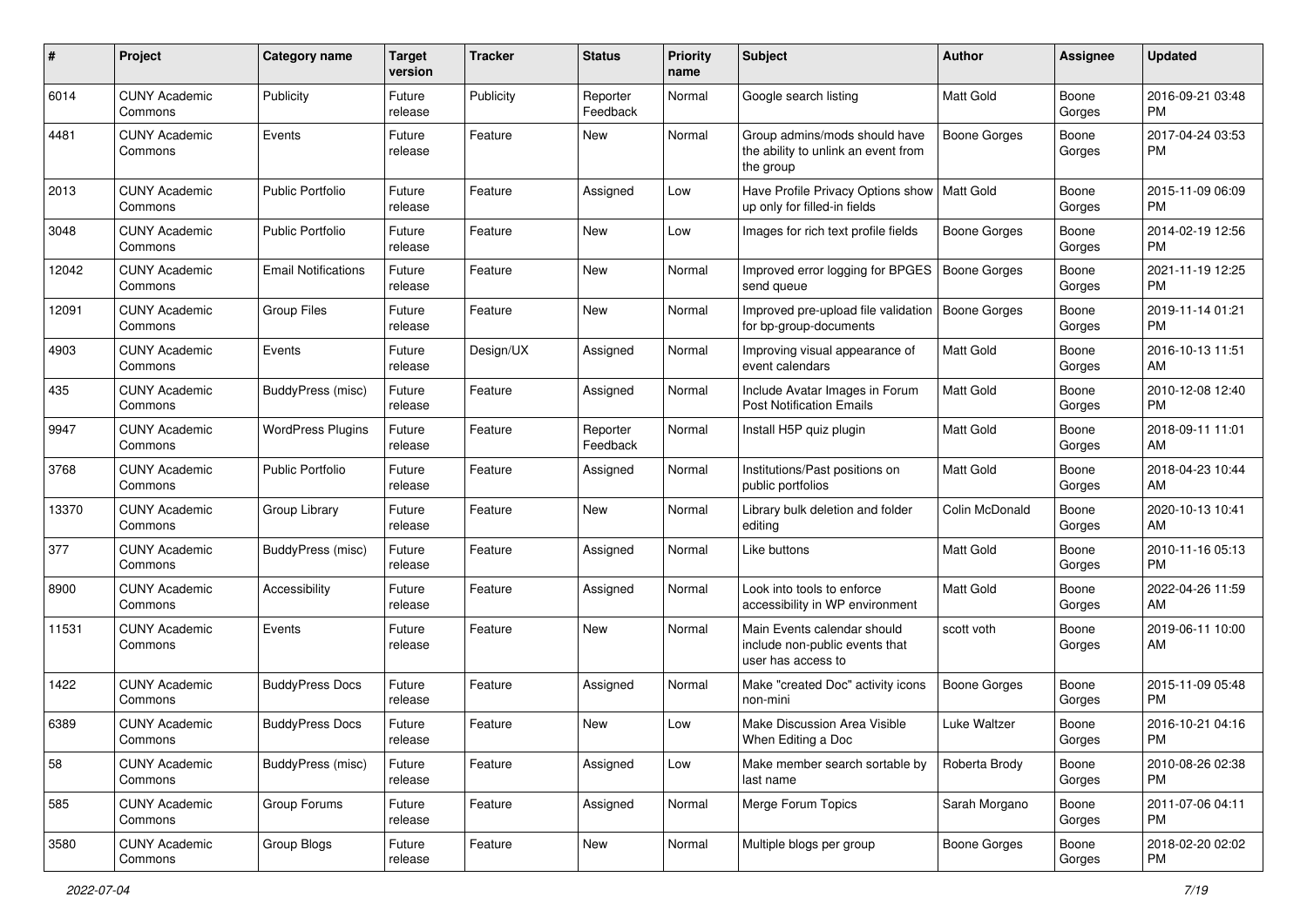| #     | Project                         | <b>Category name</b>       | <b>Target</b><br>version | <b>Tracker</b> | <b>Status</b>        | <b>Priority</b><br>name | Subject                                                                             | Author              | Assignee        | <b>Updated</b>                |
|-------|---------------------------------|----------------------------|--------------------------|----------------|----------------------|-------------------------|-------------------------------------------------------------------------------------|---------------------|-----------------|-------------------------------|
| 6014  | <b>CUNY Academic</b><br>Commons | Publicity                  | Future<br>release        | Publicity      | Reporter<br>Feedback | Normal                  | Google search listing                                                               | <b>Matt Gold</b>    | Boone<br>Gorges | 2016-09-21 03:48<br>PM        |
| 4481  | <b>CUNY Academic</b><br>Commons | Events                     | Future<br>release        | Feature        | New                  | Normal                  | Group admins/mods should have<br>the ability to unlink an event from<br>the group   | <b>Boone Gorges</b> | Boone<br>Gorges | 2017-04-24 03:53<br><b>PM</b> |
| 2013  | <b>CUNY Academic</b><br>Commons | <b>Public Portfolio</b>    | Future<br>release        | Feature        | Assigned             | Low                     | Have Profile Privacy Options show<br>up only for filled-in fields                   | Matt Gold           | Boone<br>Gorges | 2015-11-09 06:09<br><b>PM</b> |
| 3048  | <b>CUNY Academic</b><br>Commons | <b>Public Portfolio</b>    | Future<br>release        | Feature        | New                  | Low                     | Images for rich text profile fields                                                 | Boone Gorges        | Boone<br>Gorges | 2014-02-19 12:56<br><b>PM</b> |
| 12042 | <b>CUNY Academic</b><br>Commons | <b>Email Notifications</b> | Future<br>release        | Feature        | New                  | Normal                  | Improved error logging for BPGES<br>send queue                                      | <b>Boone Gorges</b> | Boone<br>Gorges | 2021-11-19 12:25<br>PM        |
| 12091 | <b>CUNY Academic</b><br>Commons | <b>Group Files</b>         | Future<br>release        | Feature        | New                  | Normal                  | Improved pre-upload file validation<br>for bp-group-documents                       | Boone Gorges        | Boone<br>Gorges | 2019-11-14 01:21<br><b>PM</b> |
| 4903  | <b>CUNY Academic</b><br>Commons | Events                     | Future<br>release        | Design/UX      | Assigned             | Normal                  | Improving visual appearance of<br>event calendars                                   | <b>Matt Gold</b>    | Boone<br>Gorges | 2016-10-13 11:51<br>AM        |
| 435   | <b>CUNY Academic</b><br>Commons | BuddyPress (misc)          | Future<br>release        | Feature        | Assigned             | Normal                  | Include Avatar Images in Forum<br><b>Post Notification Emails</b>                   | <b>Matt Gold</b>    | Boone<br>Gorges | 2010-12-08 12:40<br><b>PM</b> |
| 9947  | <b>CUNY Academic</b><br>Commons | <b>WordPress Plugins</b>   | Future<br>release        | Feature        | Reporter<br>Feedback | Normal                  | Install H5P quiz plugin                                                             | <b>Matt Gold</b>    | Boone<br>Gorges | 2018-09-11 11:01<br>AM        |
| 3768  | <b>CUNY Academic</b><br>Commons | Public Portfolio           | Future<br>release        | Feature        | Assigned             | Normal                  | Institutions/Past positions on<br>public portfolios                                 | <b>Matt Gold</b>    | Boone<br>Gorges | 2018-04-23 10:44<br>AM        |
| 13370 | <b>CUNY Academic</b><br>Commons | Group Library              | Future<br>release        | Feature        | New                  | Normal                  | Library bulk deletion and folder<br>editing                                         | Colin McDonald      | Boone<br>Gorges | 2020-10-13 10:41<br>AM        |
| 377   | <b>CUNY Academic</b><br>Commons | <b>BuddyPress</b> (misc)   | Future<br>release        | Feature        | Assigned             | Normal                  | Like buttons                                                                        | <b>Matt Gold</b>    | Boone<br>Gorges | 2010-11-16 05:13<br><b>PM</b> |
| 8900  | <b>CUNY Academic</b><br>Commons | Accessibility              | Future<br>release        | Feature        | Assigned             | Normal                  | Look into tools to enforce<br>accessibility in WP environment                       | <b>Matt Gold</b>    | Boone<br>Gorges | 2022-04-26 11:59<br>AM        |
| 11531 | <b>CUNY Academic</b><br>Commons | Events                     | Future<br>release        | Feature        | New                  | Normal                  | Main Events calendar should<br>include non-public events that<br>user has access to | scott voth          | Boone<br>Gorges | 2019-06-11 10:00<br>AM        |
| 1422  | <b>CUNY Academic</b><br>Commons | <b>BuddyPress Docs</b>     | Future<br>release        | Feature        | Assigned             | Normal                  | Make "created Doc" activity icons<br>non-mini                                       | Boone Gorges        | Boone<br>Gorges | 2015-11-09 05:48<br><b>PM</b> |
| 6389  | <b>CUNY Academic</b><br>Commons | <b>BuddyPress Docs</b>     | Future<br>release        | Feature        | New                  | Low                     | Make Discussion Area Visible<br>When Editing a Doc                                  | Luke Waltzer        | Boone<br>Gorges | 2016-10-21 04:16<br>PM        |
| 58    | <b>CUNY Academic</b><br>Commons | BuddyPress (misc)          | Future<br>release        | Feature        | Assigned             | Low                     | Make member search sortable by<br>last name                                         | Roberta Brody       | Boone<br>Gorges | 2010-08-26 02:38<br>PM        |
| 585   | <b>CUNY Academic</b><br>Commons | Group Forums               | Future<br>release        | Feature        | Assigned             | Normal                  | Merge Forum Topics                                                                  | Sarah Morgano       | Boone<br>Gorges | 2011-07-06 04:11<br><b>PM</b> |
| 3580  | <b>CUNY Academic</b><br>Commons | Group Blogs                | Future<br>release        | Feature        | New                  | Normal                  | Multiple blogs per group                                                            | <b>Boone Gorges</b> | Boone<br>Gorges | 2018-02-20 02:02<br>PM        |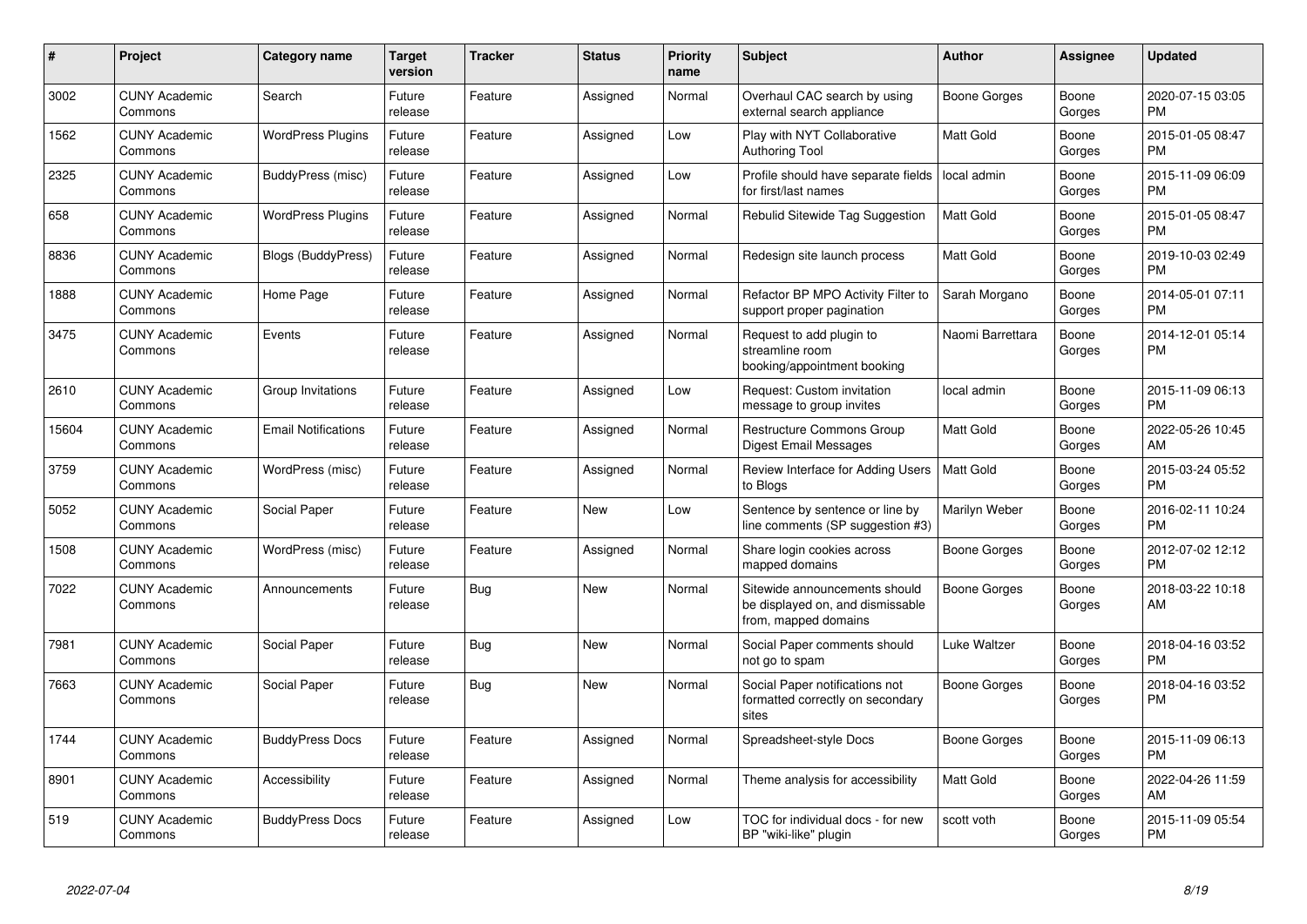| #     | <b>Project</b>                  | Category name              | <b>Target</b><br>version | <b>Tracker</b> | <b>Status</b> | <b>Priority</b><br>name | <b>Subject</b>                                                                            | <b>Author</b>       | Assignee        | <b>Updated</b>                |
|-------|---------------------------------|----------------------------|--------------------------|----------------|---------------|-------------------------|-------------------------------------------------------------------------------------------|---------------------|-----------------|-------------------------------|
| 3002  | <b>CUNY Academic</b><br>Commons | Search                     | Future<br>release        | Feature        | Assigned      | Normal                  | Overhaul CAC search by using<br>external search appliance                                 | Boone Gorges        | Boone<br>Gorges | 2020-07-15 03:05<br><b>PM</b> |
| 1562  | <b>CUNY Academic</b><br>Commons | <b>WordPress Plugins</b>   | Future<br>release        | Feature        | Assigned      | Low                     | Play with NYT Collaborative<br><b>Authoring Tool</b>                                      | <b>Matt Gold</b>    | Boone<br>Gorges | 2015-01-05 08:47<br><b>PM</b> |
| 2325  | <b>CUNY Academic</b><br>Commons | BuddyPress (misc)          | Future<br>release        | Feature        | Assigned      | Low                     | Profile should have separate fields<br>for first/last names                               | local admin         | Boone<br>Gorges | 2015-11-09 06:09<br><b>PM</b> |
| 658   | <b>CUNY Academic</b><br>Commons | <b>WordPress Plugins</b>   | Future<br>release        | Feature        | Assigned      | Normal                  | Rebulid Sitewide Tag Suggestion                                                           | <b>Matt Gold</b>    | Boone<br>Gorges | 2015-01-05 08:47<br><b>PM</b> |
| 8836  | <b>CUNY Academic</b><br>Commons | <b>Blogs (BuddyPress)</b>  | Future<br>release        | Feature        | Assigned      | Normal                  | Redesign site launch process                                                              | <b>Matt Gold</b>    | Boone<br>Gorges | 2019-10-03 02:49<br><b>PM</b> |
| 1888  | <b>CUNY Academic</b><br>Commons | Home Page                  | Future<br>release        | Feature        | Assigned      | Normal                  | Refactor BP MPO Activity Filter to<br>support proper pagination                           | Sarah Morgano       | Boone<br>Gorges | 2014-05-01 07:11<br><b>PM</b> |
| 3475  | <b>CUNY Academic</b><br>Commons | Events                     | Future<br>release        | Feature        | Assigned      | Normal                  | Request to add plugin to<br>streamline room<br>booking/appointment booking                | Naomi Barrettara    | Boone<br>Gorges | 2014-12-01 05:14<br><b>PM</b> |
| 2610  | <b>CUNY Academic</b><br>Commons | Group Invitations          | Future<br>release        | Feature        | Assigned      | Low                     | Request: Custom invitation<br>message to group invites                                    | local admin         | Boone<br>Gorges | 2015-11-09 06:13<br><b>PM</b> |
| 15604 | <b>CUNY Academic</b><br>Commons | <b>Email Notifications</b> | Future<br>release        | Feature        | Assigned      | Normal                  | <b>Restructure Commons Group</b><br>Digest Email Messages                                 | Matt Gold           | Boone<br>Gorges | 2022-05-26 10:45<br>AM        |
| 3759  | <b>CUNY Academic</b><br>Commons | WordPress (misc)           | Future<br>release        | Feature        | Assigned      | Normal                  | Review Interface for Adding Users<br>to Blogs                                             | Matt Gold           | Boone<br>Gorges | 2015-03-24 05:52<br><b>PM</b> |
| 5052  | <b>CUNY Academic</b><br>Commons | Social Paper               | Future<br>release        | Feature        | New           | Low                     | Sentence by sentence or line by<br>line comments (SP suggestion #3)                       | Marilyn Weber       | Boone<br>Gorges | 2016-02-11 10:24<br><b>PM</b> |
| 1508  | <b>CUNY Academic</b><br>Commons | WordPress (misc)           | Future<br>release        | Feature        | Assigned      | Normal                  | Share login cookies across<br>mapped domains                                              | Boone Gorges        | Boone<br>Gorges | 2012-07-02 12:12<br><b>PM</b> |
| 7022  | <b>CUNY Academic</b><br>Commons | Announcements              | Future<br>release        | Bug            | <b>New</b>    | Normal                  | Sitewide announcements should<br>be displayed on, and dismissable<br>from, mapped domains | Boone Gorges        | Boone<br>Gorges | 2018-03-22 10:18<br>AM        |
| 7981  | <b>CUNY Academic</b><br>Commons | Social Paper               | Future<br>release        | <b>Bug</b>     | <b>New</b>    | Normal                  | Social Paper comments should<br>not go to spam                                            | Luke Waltzer        | Boone<br>Gorges | 2018-04-16 03:52<br><b>PM</b> |
| 7663  | <b>CUNY Academic</b><br>Commons | Social Paper               | Future<br>release        | Bug            | New           | Normal                  | Social Paper notifications not<br>formatted correctly on secondary<br>sites               | <b>Boone Gorges</b> | Boone<br>Gorges | 2018-04-16 03:52<br><b>PM</b> |
| 1744  | <b>CUNY Academic</b><br>Commons | <b>BuddyPress Docs</b>     | Future<br>release        | Feature        | Assigned      | Normal                  | Spreadsheet-style Docs                                                                    | Boone Gorges        | Boone<br>Gorges | 2015-11-09 06:13<br><b>PM</b> |
| 8901  | <b>CUNY Academic</b><br>Commons | Accessibility              | Future<br>release        | Feature        | Assigned      | Normal                  | Theme analysis for accessibility                                                          | <b>Matt Gold</b>    | Boone<br>Gorges | 2022-04-26 11:59<br>AM        |
| 519   | <b>CUNY Academic</b><br>Commons | <b>BuddyPress Docs</b>     | Future<br>release        | Feature        | Assigned      | Low                     | TOC for individual docs - for new<br>BP "wiki-like" plugin                                | scott voth          | Boone<br>Gorges | 2015-11-09 05:54<br><b>PM</b> |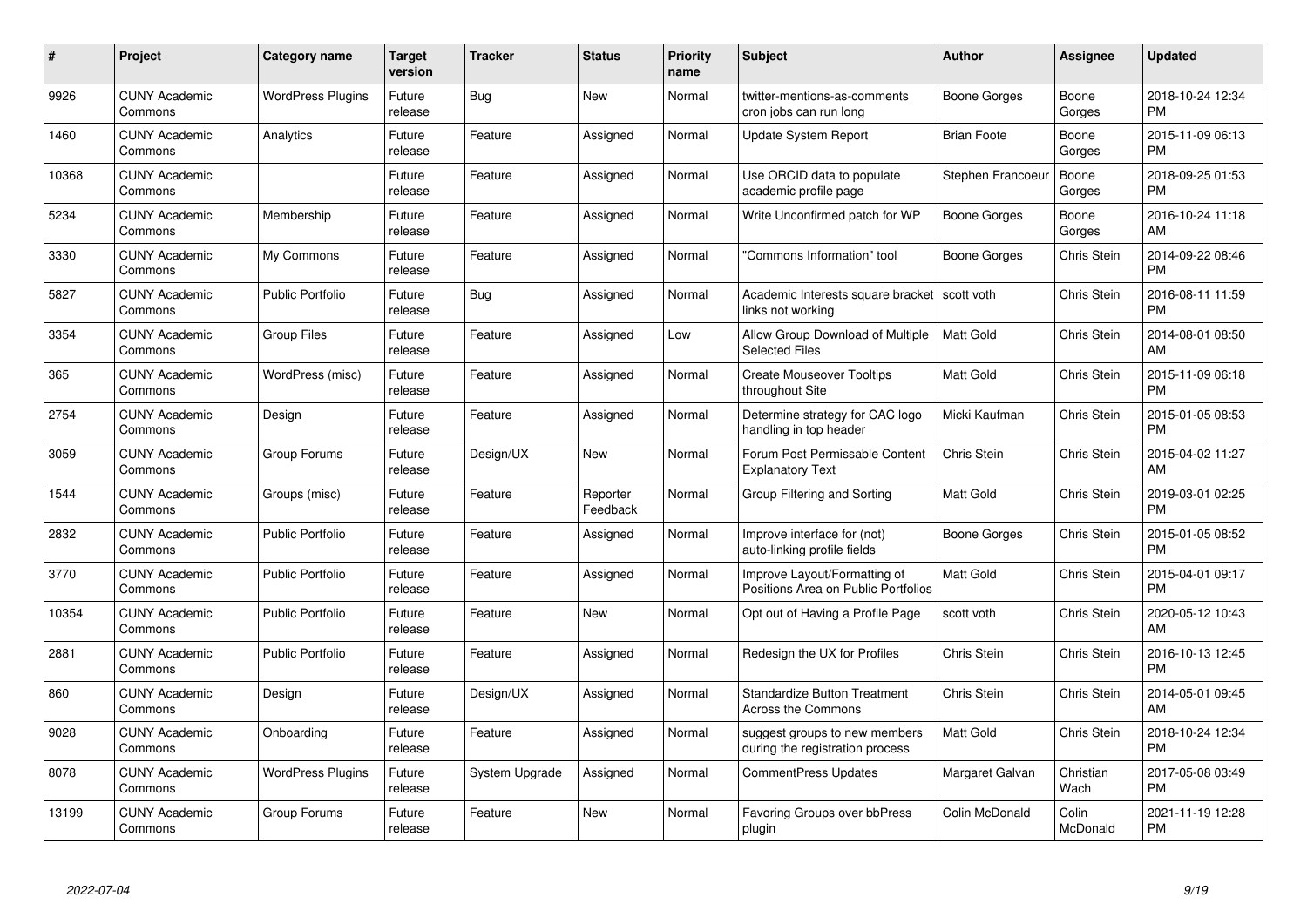| $\#$  | Project                         | <b>Category name</b>     | Target<br>version | <b>Tracker</b> | <b>Status</b>        | Priority<br>name | <b>Subject</b>                                                      | <b>Author</b>      | <b>Assignee</b>    | <b>Updated</b>                |
|-------|---------------------------------|--------------------------|-------------------|----------------|----------------------|------------------|---------------------------------------------------------------------|--------------------|--------------------|-------------------------------|
| 9926  | <b>CUNY Academic</b><br>Commons | <b>WordPress Plugins</b> | Future<br>release | Bug            | <b>New</b>           | Normal           | twitter-mentions-as-comments<br>cron jobs can run long              | Boone Gorges       | Boone<br>Gorges    | 2018-10-24 12:34<br><b>PM</b> |
| 1460  | <b>CUNY Academic</b><br>Commons | Analytics                | Future<br>release | Feature        | Assigned             | Normal           | Update System Report                                                | <b>Brian Foote</b> | Boone<br>Gorges    | 2015-11-09 06:13<br><b>PM</b> |
| 10368 | <b>CUNY Academic</b><br>Commons |                          | Future<br>release | Feature        | Assigned             | Normal           | Use ORCID data to populate<br>academic profile page                 | Stephen Francoeu   | Boone<br>Gorges    | 2018-09-25 01:53<br><b>PM</b> |
| 5234  | <b>CUNY Academic</b><br>Commons | Membership               | Future<br>release | Feature        | Assigned             | Normal           | Write Unconfirmed patch for WP                                      | Boone Gorges       | Boone<br>Gorges    | 2016-10-24 11:18<br>AM        |
| 3330  | <b>CUNY Academic</b><br>Commons | My Commons               | Future<br>release | Feature        | Assigned             | Normal           | "Commons Information" tool                                          | Boone Gorges       | Chris Stein        | 2014-09-22 08:46<br><b>PM</b> |
| 5827  | <b>CUNY Academic</b><br>Commons | <b>Public Portfolio</b>  | Future<br>release | Bug            | Assigned             | Normal           | Academic Interests square bracket<br>links not working              | scott voth         | Chris Stein        | 2016-08-11 11:59<br><b>PM</b> |
| 3354  | <b>CUNY Academic</b><br>Commons | <b>Group Files</b>       | Future<br>release | Feature        | Assigned             | Low              | Allow Group Download of Multiple<br><b>Selected Files</b>           | <b>Matt Gold</b>   | Chris Stein        | 2014-08-01 08:50<br>AM        |
| 365   | <b>CUNY Academic</b><br>Commons | WordPress (misc)         | Future<br>release | Feature        | Assigned             | Normal           | <b>Create Mouseover Tooltips</b><br>throughout Site                 | <b>Matt Gold</b>   | Chris Stein        | 2015-11-09 06:18<br><b>PM</b> |
| 2754  | <b>CUNY Academic</b><br>Commons | Design                   | Future<br>release | Feature        | Assigned             | Normal           | Determine strategy for CAC logo<br>handling in top header           | Micki Kaufman      | Chris Stein        | 2015-01-05 08:53<br><b>PM</b> |
| 3059  | <b>CUNY Academic</b><br>Commons | Group Forums             | Future<br>release | Design/UX      | <b>New</b>           | Normal           | Forum Post Permissable Content<br><b>Explanatory Text</b>           | Chris Stein        | Chris Stein        | 2015-04-02 11:27<br>AM        |
| 1544  | <b>CUNY Academic</b><br>Commons | Groups (misc)            | Future<br>release | Feature        | Reporter<br>Feedback | Normal           | Group Filtering and Sorting                                         | Matt Gold          | <b>Chris Stein</b> | 2019-03-01 02:25<br><b>PM</b> |
| 2832  | <b>CUNY Academic</b><br>Commons | <b>Public Portfolio</b>  | Future<br>release | Feature        | Assigned             | Normal           | Improve interface for (not)<br>auto-linking profile fields          | Boone Gorges       | Chris Stein        | 2015-01-05 08:52<br><b>PM</b> |
| 3770  | <b>CUNY Academic</b><br>Commons | <b>Public Portfolio</b>  | Future<br>release | Feature        | Assigned             | Normal           | Improve Layout/Formatting of<br>Positions Area on Public Portfolios | <b>Matt Gold</b>   | Chris Stein        | 2015-04-01 09:17<br><b>PM</b> |
| 10354 | <b>CUNY Academic</b><br>Commons | <b>Public Portfolio</b>  | Future<br>release | Feature        | New                  | Normal           | Opt out of Having a Profile Page                                    | scott voth         | Chris Stein        | 2020-05-12 10:43<br>AM        |
| 2881  | <b>CUNY Academic</b><br>Commons | <b>Public Portfolio</b>  | Future<br>release | Feature        | Assigned             | Normal           | Redesign the UX for Profiles                                        | Chris Stein        | Chris Stein        | 2016-10-13 12:45<br><b>PM</b> |
| 860   | <b>CUNY Academic</b><br>Commons | Design                   | Future<br>release | Design/UX      | Assigned             | Normal           | <b>Standardize Button Treatment</b><br><b>Across the Commons</b>    | Chris Stein        | Chris Stein        | 2014-05-01 09:45<br>AM        |
| 9028  | <b>CUNY Academic</b><br>Commons | Onboarding               | Future<br>release | Feature        | Assigned             | Normal           | suggest groups to new members<br>during the registration process    | <b>Matt Gold</b>   | Chris Stein        | 2018-10-24 12:34<br><b>PM</b> |
| 8078  | <b>CUNY Academic</b><br>Commons | <b>WordPress Plugins</b> | Future<br>release | System Upgrade | Assigned             | Normal           | CommentPress Updates                                                | Margaret Galvan    | Christian<br>Wach  | 2017-05-08 03:49<br><b>PM</b> |
| 13199 | <b>CUNY Academic</b><br>Commons | Group Forums             | Future<br>release | Feature        | <b>New</b>           | Normal           | Favoring Groups over bbPress<br>plugin                              | Colin McDonald     | Colin<br>McDonald  | 2021-11-19 12:28<br><b>PM</b> |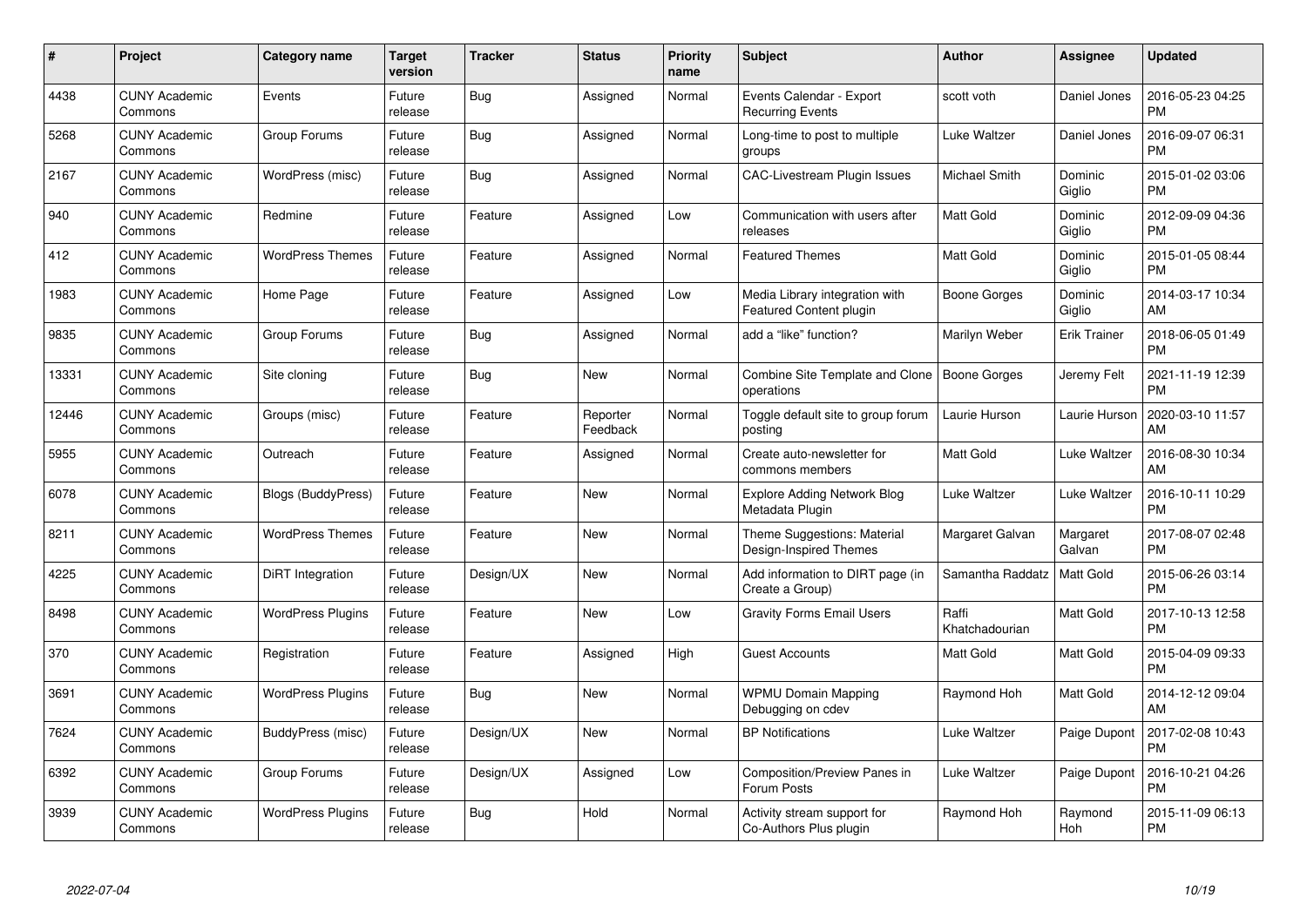| $\#$  | Project                         | <b>Category name</b>      | <b>Target</b><br>version | <b>Tracker</b> | <b>Status</b>        | Priority<br>name | <b>Subject</b>                                            | <b>Author</b>           | <b>Assignee</b>     | <b>Updated</b>                |
|-------|---------------------------------|---------------------------|--------------------------|----------------|----------------------|------------------|-----------------------------------------------------------|-------------------------|---------------------|-------------------------------|
| 4438  | <b>CUNY Academic</b><br>Commons | Events                    | Future<br>release        | Bug            | Assigned             | Normal           | Events Calendar - Export<br><b>Recurring Events</b>       | scott voth              | Daniel Jones        | 2016-05-23 04:25<br><b>PM</b> |
| 5268  | <b>CUNY Academic</b><br>Commons | Group Forums              | Future<br>release        | Bug            | Assigned             | Normal           | Long-time to post to multiple<br>groups                   | Luke Waltzer            | Daniel Jones        | 2016-09-07 06:31<br><b>PM</b> |
| 2167  | <b>CUNY Academic</b><br>Commons | WordPress (misc)          | Future<br>release        | Bug            | Assigned             | Normal           | <b>CAC-Livestream Plugin Issues</b>                       | Michael Smith           | Dominic<br>Giglio   | 2015-01-02 03:06<br><b>PM</b> |
| 940   | <b>CUNY Academic</b><br>Commons | Redmine                   | Future<br>release        | Feature        | Assigned             | Low              | Communication with users after<br>releases                | <b>Matt Gold</b>        | Dominic<br>Giglio   | 2012-09-09 04:36<br><b>PM</b> |
| 412   | <b>CUNY Academic</b><br>Commons | <b>WordPress Themes</b>   | Future<br>release        | Feature        | Assigned             | Normal           | <b>Featured Themes</b>                                    | Matt Gold               | Dominic<br>Giglio   | 2015-01-05 08:44<br><b>PM</b> |
| 1983  | <b>CUNY Academic</b><br>Commons | Home Page                 | Future<br>release        | Feature        | Assigned             | Low              | Media Library integration with<br>Featured Content plugin | Boone Gorges            | Dominic<br>Giglio   | 2014-03-17 10:34<br>AM        |
| 9835  | <b>CUNY Academic</b><br>Commons | Group Forums              | Future<br>release        | Bug            | Assigned             | Normal           | add a "like" function?                                    | Marilyn Weber           | <b>Erik Trainer</b> | 2018-06-05 01:49<br><b>PM</b> |
| 13331 | <b>CUNY Academic</b><br>Commons | Site cloning              | Future<br>release        | Bug            | <b>New</b>           | Normal           | Combine Site Template and Clone<br>operations             | Boone Gorges            | Jeremy Felt         | 2021-11-19 12:39<br><b>PM</b> |
| 12446 | <b>CUNY Academic</b><br>Commons | Groups (misc)             | Future<br>release        | Feature        | Reporter<br>Feedback | Normal           | Toggle default site to group forum<br>posting             | Laurie Hurson           | Laurie Hurson       | 2020-03-10 11:57<br>AM        |
| 5955  | <b>CUNY Academic</b><br>Commons | Outreach                  | Future<br>release        | Feature        | Assigned             | Normal           | Create auto-newsletter for<br>commons members             | <b>Matt Gold</b>        | Luke Waltzer        | 2016-08-30 10:34<br>AM        |
| 6078  | <b>CUNY Academic</b><br>Commons | <b>Blogs (BuddyPress)</b> | Future<br>release        | Feature        | New                  | Normal           | <b>Explore Adding Network Blog</b><br>Metadata Plugin     | Luke Waltzer            | Luke Waltzer        | 2016-10-11 10:29<br><b>PM</b> |
| 8211  | <b>CUNY Academic</b><br>Commons | <b>WordPress Themes</b>   | Future<br>release        | Feature        | New                  | Normal           | Theme Suggestions: Material<br>Design-Inspired Themes     | Margaret Galvan         | Margaret<br>Galvan  | 2017-08-07 02:48<br><b>PM</b> |
| 4225  | <b>CUNY Academic</b><br>Commons | DiRT Integration          | Future<br>release        | Design/UX      | New                  | Normal           | Add information to DIRT page (in<br>Create a Group)       | Samantha Raddatz        | Matt Gold           | 2015-06-26 03:14<br><b>PM</b> |
| 8498  | <b>CUNY Academic</b><br>Commons | <b>WordPress Plugins</b>  | Future<br>release        | Feature        | New                  | Low              | <b>Gravity Forms Email Users</b>                          | Raffi<br>Khatchadourian | Matt Gold           | 2017-10-13 12:58<br><b>PM</b> |
| 370   | <b>CUNY Academic</b><br>Commons | Registration              | Future<br>release        | Feature        | Assigned             | High             | <b>Guest Accounts</b>                                     | Matt Gold               | Matt Gold           | 2015-04-09 09:33<br><b>PM</b> |
| 3691  | <b>CUNY Academic</b><br>Commons | <b>WordPress Plugins</b>  | Future<br>release        | Bug            | New                  | Normal           | <b>WPMU Domain Mapping</b><br>Debugging on cdev           | Raymond Hoh             | Matt Gold           | 2014-12-12 09:04<br>AM        |
| 7624  | <b>CUNY Academic</b><br>Commons | BuddyPress (misc)         | Future<br>release        | Design/UX      | New                  | Normal           | <b>BP Notifications</b>                                   | Luke Waltzer            | Paige Dupont        | 2017-02-08 10:43<br><b>PM</b> |
| 6392  | <b>CUNY Academic</b><br>Commons | Group Forums              | Future<br>release        | Design/UX      | Assigned             | Low              | Composition/Preview Panes in<br>Forum Posts               | Luke Waltzer            | Paige Dupont        | 2016-10-21 04:26<br><b>PM</b> |
| 3939  | <b>CUNY Academic</b><br>Commons | <b>WordPress Plugins</b>  | Future<br>release        | Bug            | Hold                 | Normal           | Activity stream support for<br>Co-Authors Plus plugin     | Raymond Hoh             | Raymond<br>Hoh      | 2015-11-09 06:13<br><b>PM</b> |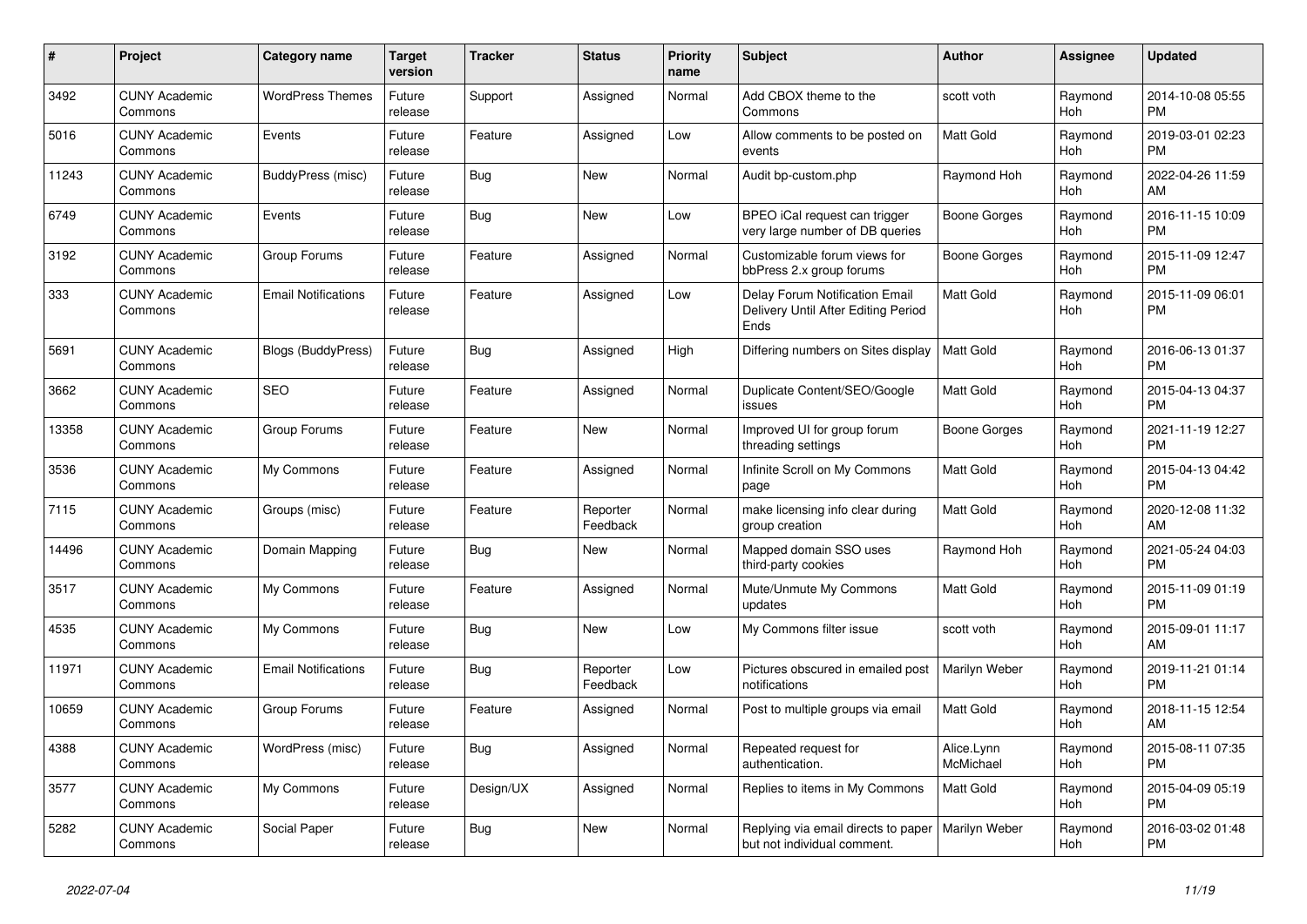| #     | Project                         | <b>Category name</b>       | <b>Target</b><br>version | <b>Tracker</b> | <b>Status</b>        | <b>Priority</b><br>name | <b>Subject</b>                                                                | <b>Author</b>           | Assignee       | <b>Updated</b>                |
|-------|---------------------------------|----------------------------|--------------------------|----------------|----------------------|-------------------------|-------------------------------------------------------------------------------|-------------------------|----------------|-------------------------------|
| 3492  | <b>CUNY Academic</b><br>Commons | <b>WordPress Themes</b>    | Future<br>release        | Support        | Assigned             | Normal                  | Add CBOX theme to the<br>Commons                                              | scott voth              | Raymond<br>Hoh | 2014-10-08 05:55<br><b>PM</b> |
| 5016  | <b>CUNY Academic</b><br>Commons | Events                     | Future<br>release        | Feature        | Assigned             | Low                     | Allow comments to be posted on<br>events                                      | <b>Matt Gold</b>        | Raymond<br>Hoh | 2019-03-01 02:23<br><b>PM</b> |
| 11243 | <b>CUNY Academic</b><br>Commons | BuddyPress (misc)          | Future<br>release        | Bug            | New                  | Normal                  | Audit bp-custom.php                                                           | Raymond Hoh             | Raymond<br>Hoh | 2022-04-26 11:59<br>AM        |
| 6749  | <b>CUNY Academic</b><br>Commons | Events                     | Future<br>release        | Bug            | <b>New</b>           | Low                     | BPEO iCal request can trigger<br>very large number of DB queries              | Boone Gorges            | Raymond<br>Hoh | 2016-11-15 10:09<br><b>PM</b> |
| 3192  | <b>CUNY Academic</b><br>Commons | Group Forums               | Future<br>release        | Feature        | Assigned             | Normal                  | Customizable forum views for<br>bbPress 2.x group forums                      | <b>Boone Gorges</b>     | Raymond<br>Hoh | 2015-11-09 12:47<br><b>PM</b> |
| 333   | <b>CUNY Academic</b><br>Commons | <b>Email Notifications</b> | Future<br>release        | Feature        | Assigned             | Low                     | Delay Forum Notification Email<br>Delivery Until After Editing Period<br>Ends | Matt Gold               | Raymond<br>Hoh | 2015-11-09 06:01<br><b>PM</b> |
| 5691  | <b>CUNY Academic</b><br>Commons | <b>Blogs (BuddyPress)</b>  | Future<br>release        | Bug            | Assigned             | High                    | Differing numbers on Sites display                                            | <b>Matt Gold</b>        | Raymond<br>Hoh | 2016-06-13 01:37<br><b>PM</b> |
| 3662  | <b>CUNY Academic</b><br>Commons | <b>SEO</b>                 | Future<br>release        | Feature        | Assigned             | Normal                  | Duplicate Content/SEO/Google<br>issues                                        | Matt Gold               | Raymond<br>Hoh | 2015-04-13 04:37<br><b>PM</b> |
| 13358 | <b>CUNY Academic</b><br>Commons | Group Forums               | Future<br>release        | Feature        | New                  | Normal                  | Improved UI for group forum<br>threading settings                             | Boone Gorges            | Raymond<br>Hoh | 2021-11-19 12:27<br><b>PM</b> |
| 3536  | <b>CUNY Academic</b><br>Commons | My Commons                 | Future<br>release        | Feature        | Assigned             | Normal                  | Infinite Scroll on My Commons<br>page                                         | Matt Gold               | Raymond<br>Hoh | 2015-04-13 04:42<br><b>PM</b> |
| 7115  | <b>CUNY Academic</b><br>Commons | Groups (misc)              | Future<br>release        | Feature        | Reporter<br>Feedback | Normal                  | make licensing info clear during<br>group creation                            | Matt Gold               | Raymond<br>Hoh | 2020-12-08 11:32<br>AM        |
| 14496 | <b>CUNY Academic</b><br>Commons | Domain Mapping             | Future<br>release        | Bug            | New                  | Normal                  | Mapped domain SSO uses<br>third-party cookies                                 | Raymond Hoh             | Raymond<br>Hoh | 2021-05-24 04:03<br><b>PM</b> |
| 3517  | <b>CUNY Academic</b><br>Commons | My Commons                 | Future<br>release        | Feature        | Assigned             | Normal                  | Mute/Unmute My Commons<br>updates                                             | <b>Matt Gold</b>        | Raymond<br>Hoh | 2015-11-09 01:19<br><b>PM</b> |
| 4535  | <b>CUNY Academic</b><br>Commons | My Commons                 | Future<br>release        | Bug            | New                  | Low                     | My Commons filter issue                                                       | scott voth              | Raymond<br>Hoh | 2015-09-01 11:17<br>AM        |
| 11971 | <b>CUNY Academic</b><br>Commons | <b>Email Notifications</b> | Future<br>release        | Bug            | Reporter<br>Feedback | Low                     | Pictures obscured in emailed post<br>notifications                            | Marilyn Weber           | Raymond<br>Hoh | 2019-11-21 01:14<br><b>PM</b> |
| 10659 | <b>CUNY Academic</b><br>Commons | Group Forums               | Future<br>release        | Feature        | Assigned             | Normal                  | Post to multiple groups via email                                             | <b>Matt Gold</b>        | Raymond<br>Hoh | 2018-11-15 12:54<br>AM        |
| 4388  | <b>CUNY Academic</b><br>Commons | WordPress (misc)           | Future<br>release        | Bug            | Assigned             | Normal                  | Repeated request for<br>authentication.                                       | Alice.Lynn<br>McMichael | Raymond<br>Hoh | 2015-08-11 07:35<br><b>PM</b> |
| 3577  | <b>CUNY Academic</b><br>Commons | My Commons                 | Future<br>release        | Design/UX      | Assigned             | Normal                  | Replies to items in My Commons                                                | <b>Matt Gold</b>        | Raymond<br>Hoh | 2015-04-09 05:19<br><b>PM</b> |
| 5282  | <b>CUNY Academic</b><br>Commons | Social Paper               | Future<br>release        | <b>Bug</b>     | <b>New</b>           | Normal                  | Replying via email directs to paper<br>but not individual comment.            | Marilyn Weber           | Raymond<br>Hoh | 2016-03-02 01:48<br><b>PM</b> |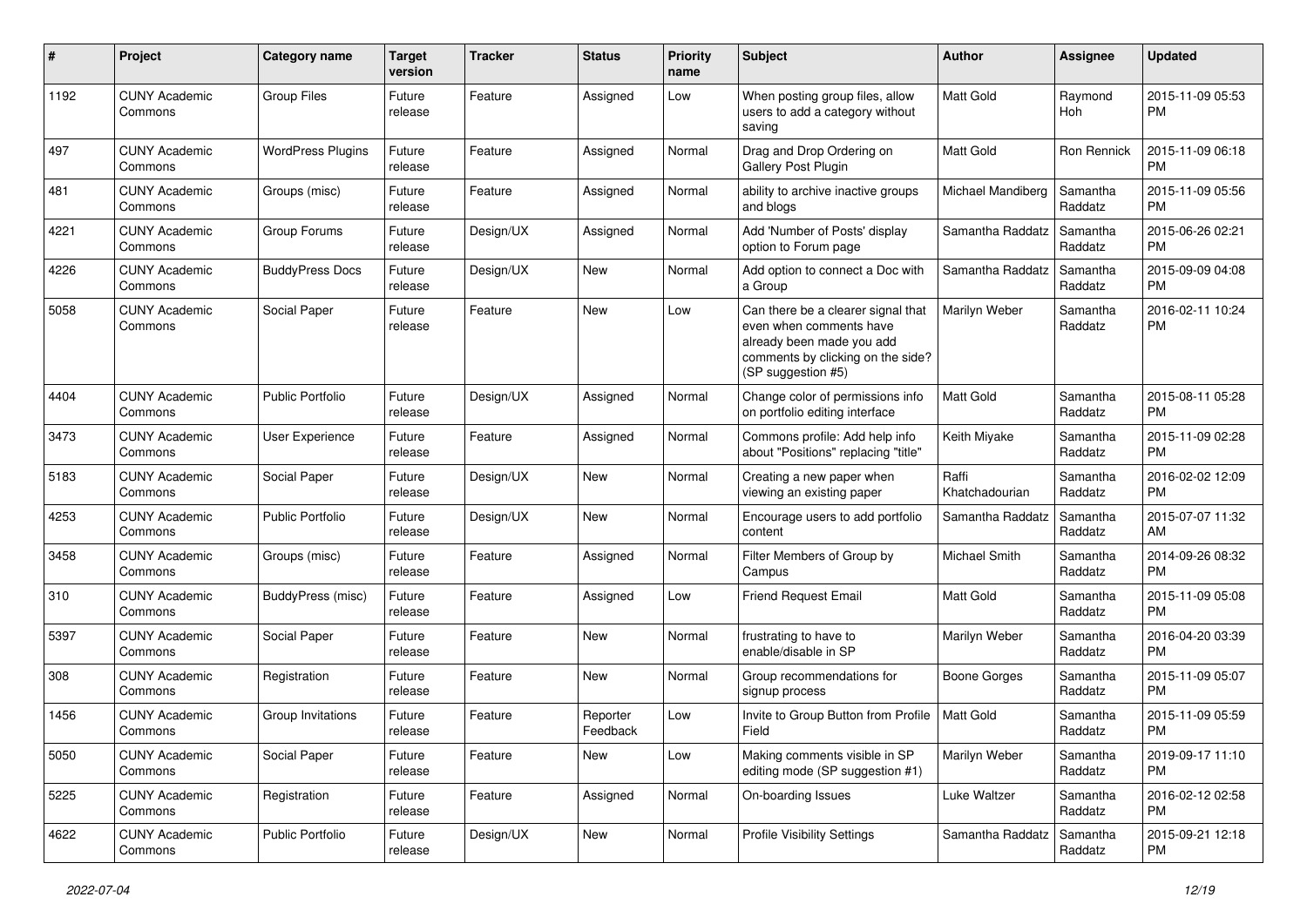| #    | Project                         | <b>Category name</b>     | <b>Target</b><br>version | Tracker   | <b>Status</b>        | <b>Priority</b><br>name | <b>Subject</b>                                                                                                                                        | Author                  | <b>Assignee</b>     | <b>Updated</b>                |
|------|---------------------------------|--------------------------|--------------------------|-----------|----------------------|-------------------------|-------------------------------------------------------------------------------------------------------------------------------------------------------|-------------------------|---------------------|-------------------------------|
| 1192 | <b>CUNY Academic</b><br>Commons | <b>Group Files</b>       | Future<br>release        | Feature   | Assigned             | Low                     | When posting group files, allow<br>users to add a category without<br>saving                                                                          | <b>Matt Gold</b>        | Raymond<br>Hoh      | 2015-11-09 05:53<br><b>PM</b> |
| 497  | <b>CUNY Academic</b><br>Commons | <b>WordPress Plugins</b> | Future<br>release        | Feature   | Assigned             | Normal                  | Drag and Drop Ordering on<br><b>Gallery Post Plugin</b>                                                                                               | <b>Matt Gold</b>        | <b>Ron Rennick</b>  | 2015-11-09 06:18<br><b>PM</b> |
| 481  | <b>CUNY Academic</b><br>Commons | Groups (misc)            | Future<br>release        | Feature   | Assigned             | Normal                  | ability to archive inactive groups<br>and blogs                                                                                                       | Michael Mandiberg       | Samantha<br>Raddatz | 2015-11-09 05:56<br><b>PM</b> |
| 4221 | <b>CUNY Academic</b><br>Commons | Group Forums             | Future<br>release        | Design/UX | Assigned             | Normal                  | Add 'Number of Posts' display<br>option to Forum page                                                                                                 | Samantha Raddatz        | Samantha<br>Raddatz | 2015-06-26 02:21<br><b>PM</b> |
| 4226 | <b>CUNY Academic</b><br>Commons | <b>BuddyPress Docs</b>   | Future<br>release        | Design/UX | <b>New</b>           | Normal                  | Add option to connect a Doc with<br>a Group                                                                                                           | Samantha Raddatz        | Samantha<br>Raddatz | 2015-09-09 04:08<br><b>PM</b> |
| 5058 | <b>CUNY Academic</b><br>Commons | Social Paper             | Future<br>release        | Feature   | <b>New</b>           | Low                     | Can there be a clearer signal that<br>even when comments have<br>already been made you add<br>comments by clicking on the side?<br>(SP suggestion #5) | Marilyn Weber           | Samantha<br>Raddatz | 2016-02-11 10:24<br><b>PM</b> |
| 4404 | <b>CUNY Academic</b><br>Commons | <b>Public Portfolio</b>  | Future<br>release        | Design/UX | Assigned             | Normal                  | Change color of permissions info<br>on portfolio editing interface                                                                                    | <b>Matt Gold</b>        | Samantha<br>Raddatz | 2015-08-11 05:28<br><b>PM</b> |
| 3473 | <b>CUNY Academic</b><br>Commons | User Experience          | Future<br>release        | Feature   | Assigned             | Normal                  | Commons profile: Add help info<br>about "Positions" replacing "title"                                                                                 | Keith Miyake            | Samantha<br>Raddatz | 2015-11-09 02:28<br><b>PM</b> |
| 5183 | <b>CUNY Academic</b><br>Commons | Social Paper             | Future<br>release        | Design/UX | <b>New</b>           | Normal                  | Creating a new paper when<br>viewing an existing paper                                                                                                | Raffi<br>Khatchadourian | Samantha<br>Raddatz | 2016-02-02 12:09<br><b>PM</b> |
| 4253 | <b>CUNY Academic</b><br>Commons | <b>Public Portfolio</b>  | Future<br>release        | Design/UX | New                  | Normal                  | Encourage users to add portfolio<br>content                                                                                                           | Samantha Raddatz        | Samantha<br>Raddatz | 2015-07-07 11:32<br>AM        |
| 3458 | <b>CUNY Academic</b><br>Commons | Groups (misc)            | Future<br>release        | Feature   | Assigned             | Normal                  | Filter Members of Group by<br>Campus                                                                                                                  | Michael Smith           | Samantha<br>Raddatz | 2014-09-26 08:32<br><b>PM</b> |
| 310  | <b>CUNY Academic</b><br>Commons | <b>BuddyPress (misc)</b> | Future<br>release        | Feature   | Assigned             | Low                     | <b>Friend Request Email</b>                                                                                                                           | Matt Gold               | Samantha<br>Raddatz | 2015-11-09 05:08<br><b>PM</b> |
| 5397 | <b>CUNY Academic</b><br>Commons | Social Paper             | Future<br>release        | Feature   | New                  | Normal                  | frustrating to have to<br>enable/disable in SP                                                                                                        | Marilyn Weber           | Samantha<br>Raddatz | 2016-04-20 03:39<br><b>PM</b> |
| 308  | <b>CUNY Academic</b><br>Commons | Registration             | Future<br>release        | Feature   | <b>New</b>           | Normal                  | Group recommendations for<br>signup process                                                                                                           | <b>Boone Gorges</b>     | Samantha<br>Raddatz | 2015-11-09 05:07<br><b>PM</b> |
| 1456 | <b>CUNY Academic</b><br>Commons | Group Invitations        | Future<br>release        | Feature   | Reporter<br>Feedback | Low                     | Invite to Group Button from Profile<br>Field                                                                                                          | <b>Matt Gold</b>        | Samantha<br>Raddatz | 2015-11-09 05:59<br><b>PM</b> |
| 5050 | <b>CUNY Academic</b><br>Commons | Social Paper             | Future<br>release        | Feature   | New                  | Low                     | Making comments visible in SP<br>editing mode (SP suggestion #1)                                                                                      | Marilyn Weber           | Samantha<br>Raddatz | 2019-09-17 11:10<br><b>PM</b> |
| 5225 | <b>CUNY Academic</b><br>Commons | Registration             | Future<br>release        | Feature   | Assigned             | Normal                  | On-boarding Issues                                                                                                                                    | Luke Waltzer            | Samantha<br>Raddatz | 2016-02-12 02:58<br><b>PM</b> |
| 4622 | <b>CUNY Academic</b><br>Commons | Public Portfolio         | Future<br>release        | Design/UX | New                  | Normal                  | <b>Profile Visibility Settings</b>                                                                                                                    | Samantha Raddatz        | Samantha<br>Raddatz | 2015-09-21 12:18<br>PM        |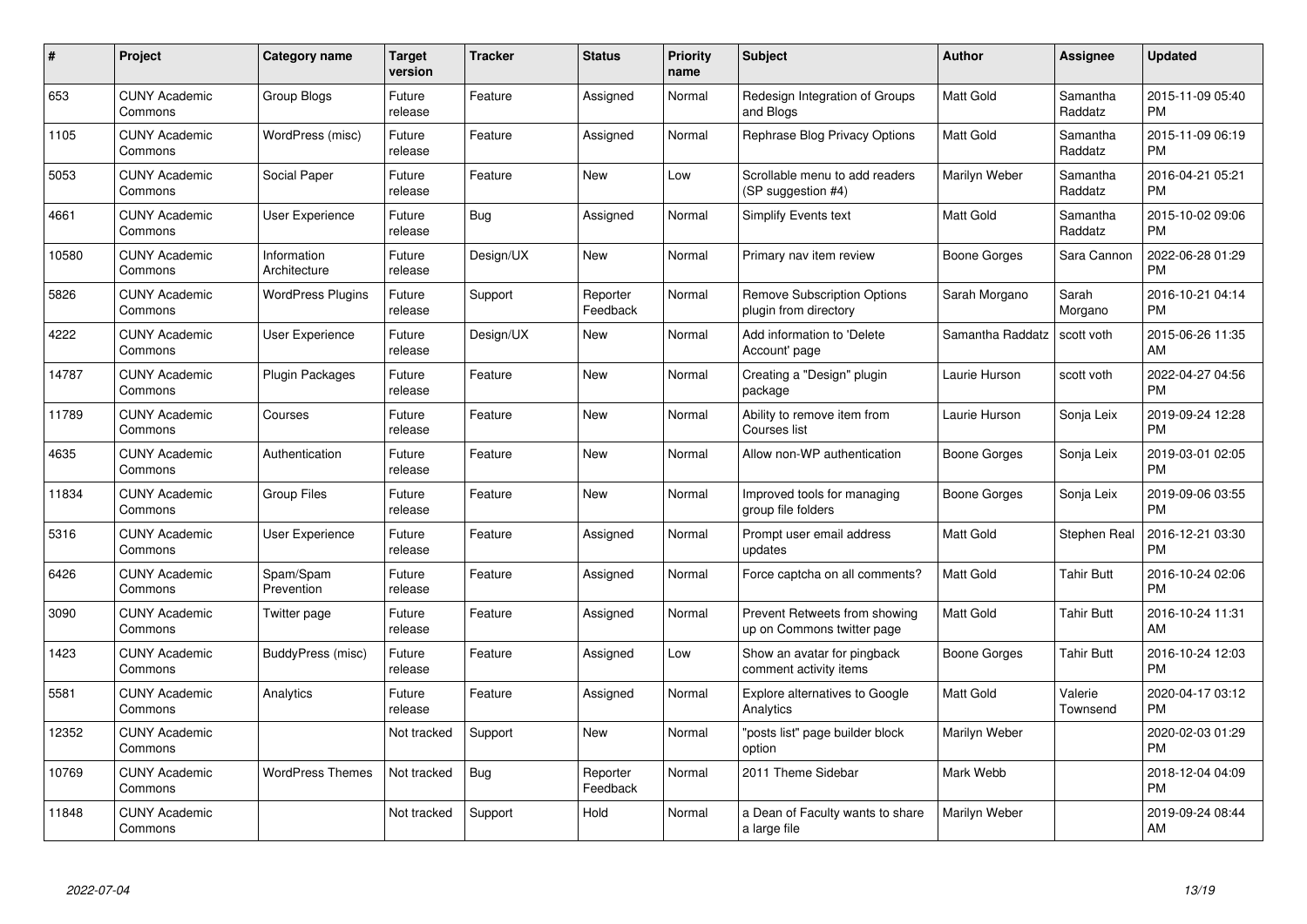| $\#$  | Project                         | <b>Category name</b>        | <b>Target</b><br>version | <b>Tracker</b> | <b>Status</b>        | Priority<br>name | <b>Subject</b>                                              | <b>Author</b>    | <b>Assignee</b>     | <b>Updated</b>                |
|-------|---------------------------------|-----------------------------|--------------------------|----------------|----------------------|------------------|-------------------------------------------------------------|------------------|---------------------|-------------------------------|
| 653   | <b>CUNY Academic</b><br>Commons | <b>Group Blogs</b>          | Future<br>release        | Feature        | Assigned             | Normal           | Redesign Integration of Groups<br>and Blogs                 | <b>Matt Gold</b> | Samantha<br>Raddatz | 2015-11-09 05:40<br><b>PM</b> |
| 1105  | <b>CUNY Academic</b><br>Commons | WordPress (misc)            | Future<br>release        | Feature        | Assigned             | Normal           | Rephrase Blog Privacy Options                               | <b>Matt Gold</b> | Samantha<br>Raddatz | 2015-11-09 06:19<br><b>PM</b> |
| 5053  | <b>CUNY Academic</b><br>Commons | Social Paper                | Future<br>release        | Feature        | <b>New</b>           | Low              | Scrollable menu to add readers<br>(SP suggestion #4)        | Marilyn Weber    | Samantha<br>Raddatz | 2016-04-21 05:21<br><b>PM</b> |
| 4661  | <b>CUNY Academic</b><br>Commons | User Experience             | Future<br>release        | Bug            | Assigned             | Normal           | Simplify Events text                                        | <b>Matt Gold</b> | Samantha<br>Raddatz | 2015-10-02 09:06<br><b>PM</b> |
| 10580 | <b>CUNY Academic</b><br>Commons | Information<br>Architecture | Future<br>release        | Design/UX      | <b>New</b>           | Normal           | Primary nav item review                                     | Boone Gorges     | Sara Cannon         | 2022-06-28 01:29<br><b>PM</b> |
| 5826  | <b>CUNY Academic</b><br>Commons | <b>WordPress Plugins</b>    | Future<br>release        | Support        | Reporter<br>Feedback | Normal           | <b>Remove Subscription Options</b><br>plugin from directory | Sarah Morgano    | Sarah<br>Morgano    | 2016-10-21 04:14<br><b>PM</b> |
| 4222  | <b>CUNY Academic</b><br>Commons | <b>User Experience</b>      | Future<br>release        | Design/UX      | New                  | Normal           | Add information to 'Delete<br>Account' page                 | Samantha Raddatz | scott voth          | 2015-06-26 11:35<br>AM        |
| 14787 | <b>CUNY Academic</b><br>Commons | <b>Plugin Packages</b>      | Future<br>release        | Feature        | <b>New</b>           | Normal           | Creating a "Design" plugin<br>package                       | Laurie Hurson    | scott voth          | 2022-04-27 04:56<br><b>PM</b> |
| 11789 | <b>CUNY Academic</b><br>Commons | Courses                     | Future<br>release        | Feature        | <b>New</b>           | Normal           | Ability to remove item from<br>Courses list                 | Laurie Hurson    | Sonja Leix          | 2019-09-24 12:28<br><b>PM</b> |
| 4635  | <b>CUNY Academic</b><br>Commons | Authentication              | Future<br>release        | Feature        | <b>New</b>           | Normal           | Allow non-WP authentication                                 | Boone Gorges     | Sonja Leix          | 2019-03-01 02:05<br><b>PM</b> |
| 11834 | <b>CUNY Academic</b><br>Commons | <b>Group Files</b>          | Future<br>release        | Feature        | <b>New</b>           | Normal           | Improved tools for managing<br>group file folders           | Boone Gorges     | Sonja Leix          | 2019-09-06 03:55<br><b>PM</b> |
| 5316  | <b>CUNY Academic</b><br>Commons | User Experience             | Future<br>release        | Feature        | Assigned             | Normal           | Prompt user email address<br>updates                        | Matt Gold        | Stephen Real        | 2016-12-21 03:30<br><b>PM</b> |
| 6426  | <b>CUNY Academic</b><br>Commons | Spam/Spam<br>Prevention     | Future<br>release        | Feature        | Assigned             | Normal           | Force captcha on all comments?                              | <b>Matt Gold</b> | <b>Tahir Butt</b>   | 2016-10-24 02:06<br><b>PM</b> |
| 3090  | <b>CUNY Academic</b><br>Commons | Twitter page                | Future<br>release        | Feature        | Assigned             | Normal           | Prevent Retweets from showing<br>up on Commons twitter page | Matt Gold        | <b>Tahir Butt</b>   | 2016-10-24 11:31<br>AM        |
| 1423  | <b>CUNY Academic</b><br>Commons | BuddyPress (misc)           | Future<br>release        | Feature        | Assigned             | Low              | Show an avatar for pingback<br>comment activity items       | Boone Gorges     | Tahir Butt          | 2016-10-24 12:03<br><b>PM</b> |
| 5581  | <b>CUNY Academic</b><br>Commons | Analytics                   | Future<br>release        | Feature        | Assigned             | Normal           | <b>Explore alternatives to Google</b><br>Analytics          | <b>Matt Gold</b> | Valerie<br>Townsend | 2020-04-17 03:12<br><b>PM</b> |
| 12352 | <b>CUNY Academic</b><br>Commons |                             | Not tracked              | Support        | <b>New</b>           | Normal           | "posts list" page builder block<br>option                   | Marilyn Weber    |                     | 2020-02-03 01:29<br><b>PM</b> |
| 10769 | <b>CUNY Academic</b><br>Commons | <b>WordPress Themes</b>     | Not tracked              | Bug            | Reporter<br>Feedback | Normal           | 2011 Theme Sidebar                                          | Mark Webb        |                     | 2018-12-04 04:09<br><b>PM</b> |
| 11848 | <b>CUNY Academic</b><br>Commons |                             | Not tracked              | Support        | Hold                 | Normal           | a Dean of Faculty wants to share<br>a large file            | Marilyn Weber    |                     | 2019-09-24 08:44<br>AM        |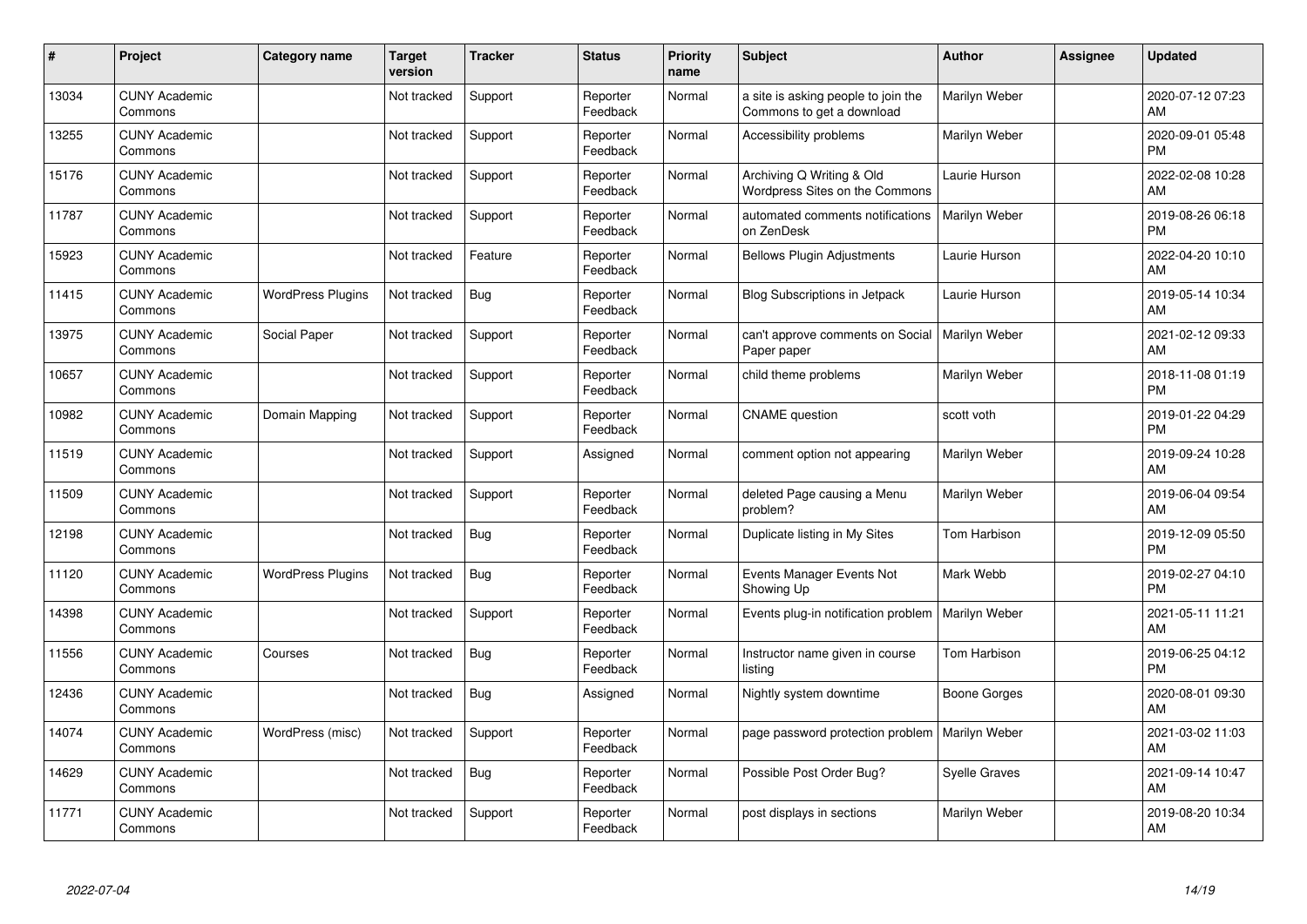| #     | Project                         | <b>Category name</b>     | <b>Target</b><br>version | <b>Tracker</b> | <b>Status</b>        | <b>Priority</b><br>name | <b>Subject</b>                                                   | <b>Author</b>        | <b>Assignee</b> | <b>Updated</b>                |
|-------|---------------------------------|--------------------------|--------------------------|----------------|----------------------|-------------------------|------------------------------------------------------------------|----------------------|-----------------|-------------------------------|
| 13034 | <b>CUNY Academic</b><br>Commons |                          | Not tracked              | Support        | Reporter<br>Feedback | Normal                  | a site is asking people to join the<br>Commons to get a download | Marilyn Weber        |                 | 2020-07-12 07:23<br>AM        |
| 13255 | <b>CUNY Academic</b><br>Commons |                          | Not tracked              | Support        | Reporter<br>Feedback | Normal                  | Accessibility problems                                           | Marilyn Weber        |                 | 2020-09-01 05:48<br><b>PM</b> |
| 15176 | <b>CUNY Academic</b><br>Commons |                          | Not tracked              | Support        | Reporter<br>Feedback | Normal                  | Archiving Q Writing & Old<br>Wordpress Sites on the Commons      | Laurie Hurson        |                 | 2022-02-08 10:28<br>AM        |
| 11787 | <b>CUNY Academic</b><br>Commons |                          | Not tracked              | Support        | Reporter<br>Feedback | Normal                  | automated comments notifications<br>on ZenDesk                   | <b>Marilyn Weber</b> |                 | 2019-08-26 06:18<br><b>PM</b> |
| 15923 | <b>CUNY Academic</b><br>Commons |                          | Not tracked              | Feature        | Reporter<br>Feedback | Normal                  | <b>Bellows Plugin Adjustments</b>                                | Laurie Hurson        |                 | 2022-04-20 10:10<br>AM        |
| 11415 | <b>CUNY Academic</b><br>Commons | <b>WordPress Plugins</b> | Not tracked              | Bug            | Reporter<br>Feedback | Normal                  | Blog Subscriptions in Jetpack                                    | Laurie Hurson        |                 | 2019-05-14 10:34<br>AM        |
| 13975 | <b>CUNY Academic</b><br>Commons | Social Paper             | Not tracked              | Support        | Reporter<br>Feedback | Normal                  | can't approve comments on Social<br>Paper paper                  | Marilyn Weber        |                 | 2021-02-12 09:33<br>AM        |
| 10657 | <b>CUNY Academic</b><br>Commons |                          | Not tracked              | Support        | Reporter<br>Feedback | Normal                  | child theme problems                                             | Marilyn Weber        |                 | 2018-11-08 01:19<br><b>PM</b> |
| 10982 | <b>CUNY Academic</b><br>Commons | Domain Mapping           | Not tracked              | Support        | Reporter<br>Feedback | Normal                  | <b>CNAME</b> question                                            | scott voth           |                 | 2019-01-22 04:29<br><b>PM</b> |
| 11519 | <b>CUNY Academic</b><br>Commons |                          | Not tracked              | Support        | Assigned             | Normal                  | comment option not appearing                                     | Marilyn Weber        |                 | 2019-09-24 10:28<br>AM        |
| 11509 | <b>CUNY Academic</b><br>Commons |                          | Not tracked              | Support        | Reporter<br>Feedback | Normal                  | deleted Page causing a Menu<br>problem?                          | Marilyn Weber        |                 | 2019-06-04 09:54<br>AM        |
| 12198 | <b>CUNY Academic</b><br>Commons |                          | Not tracked              | Bug            | Reporter<br>Feedback | Normal                  | Duplicate listing in My Sites                                    | Tom Harbison         |                 | 2019-12-09 05:50<br><b>PM</b> |
| 11120 | <b>CUNY Academic</b><br>Commons | <b>WordPress Plugins</b> | Not tracked              | <b>Bug</b>     | Reporter<br>Feedback | Normal                  | Events Manager Events Not<br>Showing Up                          | Mark Webb            |                 | 2019-02-27 04:10<br><b>PM</b> |
| 14398 | <b>CUNY Academic</b><br>Commons |                          | Not tracked              | Support        | Reporter<br>Feedback | Normal                  | Events plug-in notification problem                              | Marilyn Weber        |                 | 2021-05-11 11:21<br>AM        |
| 11556 | <b>CUNY Academic</b><br>Commons | Courses                  | Not tracked              | Bug            | Reporter<br>Feedback | Normal                  | Instructor name given in course<br>listing                       | Tom Harbison         |                 | 2019-06-25 04:12<br><b>PM</b> |
| 12436 | <b>CUNY Academic</b><br>Commons |                          | Not tracked              | Bug            | Assigned             | Normal                  | Nightly system downtime                                          | <b>Boone Gorges</b>  |                 | 2020-08-01 09:30<br>AM        |
| 14074 | <b>CUNY Academic</b><br>Commons | WordPress (misc)         | Not tracked              | Support        | Reporter<br>Feedback | Normal                  | page password protection problem                                 | Marilyn Weber        |                 | 2021-03-02 11:03<br>AM        |
| 14629 | <b>CUNY Academic</b><br>Commons |                          | Not tracked              | Bug            | Reporter<br>Feedback | Normal                  | Possible Post Order Bug?                                         | <b>Syelle Graves</b> |                 | 2021-09-14 10:47<br>AM        |
| 11771 | <b>CUNY Academic</b><br>Commons |                          | Not tracked              | Support        | Reporter<br>Feedback | Normal                  | post displays in sections                                        | Marilyn Weber        |                 | 2019-08-20 10:34<br>AM        |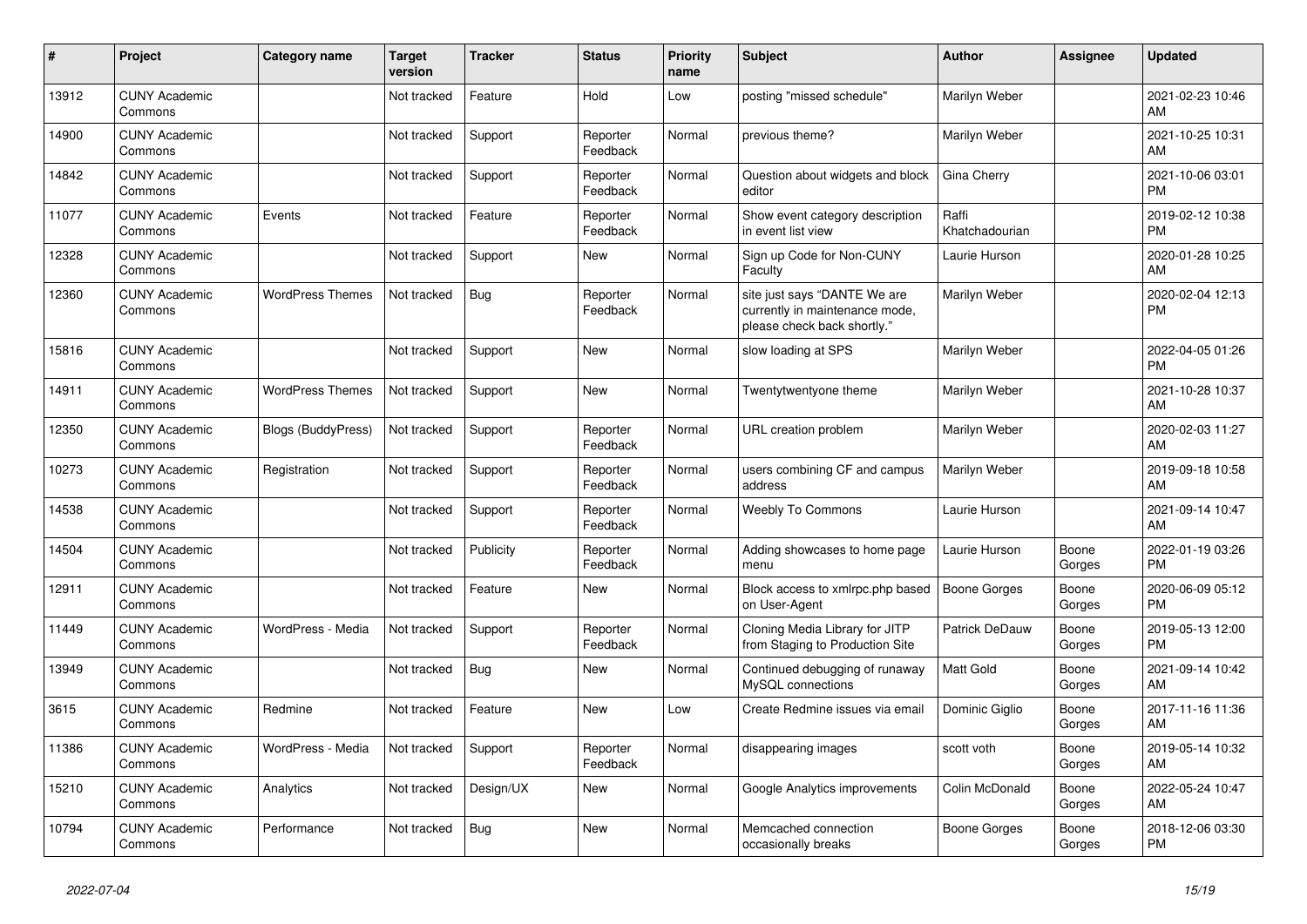| #     | Project                         | <b>Category name</b>      | <b>Target</b><br>version | <b>Tracker</b> | <b>Status</b>        | <b>Priority</b><br>name | <b>Subject</b>                                                                                | <b>Author</b>           | <b>Assignee</b> | <b>Updated</b>                |
|-------|---------------------------------|---------------------------|--------------------------|----------------|----------------------|-------------------------|-----------------------------------------------------------------------------------------------|-------------------------|-----------------|-------------------------------|
| 13912 | <b>CUNY Academic</b><br>Commons |                           | Not tracked              | Feature        | Hold                 | Low                     | posting "missed schedule"                                                                     | Marilyn Weber           |                 | 2021-02-23 10:46<br>AM.       |
| 14900 | <b>CUNY Academic</b><br>Commons |                           | Not tracked              | Support        | Reporter<br>Feedback | Normal                  | previous theme?                                                                               | Marilyn Weber           |                 | 2021-10-25 10:31<br>AM        |
| 14842 | <b>CUNY Academic</b><br>Commons |                           | Not tracked              | Support        | Reporter<br>Feedback | Normal                  | Question about widgets and block<br>editor                                                    | Gina Cherry             |                 | 2021-10-06 03:01<br><b>PM</b> |
| 11077 | <b>CUNY Academic</b><br>Commons | Events                    | Not tracked              | Feature        | Reporter<br>Feedback | Normal                  | Show event category description<br>in event list view                                         | Raffi<br>Khatchadourian |                 | 2019-02-12 10:38<br><b>PM</b> |
| 12328 | <b>CUNY Academic</b><br>Commons |                           | Not tracked              | Support        | New                  | Normal                  | Sign up Code for Non-CUNY<br>Faculty                                                          | Laurie Hurson           |                 | 2020-01-28 10:25<br>AM        |
| 12360 | <b>CUNY Academic</b><br>Commons | <b>WordPress Themes</b>   | Not tracked              | <b>Bug</b>     | Reporter<br>Feedback | Normal                  | site just says "DANTE We are<br>currently in maintenance mode,<br>please check back shortly." | Marilyn Weber           |                 | 2020-02-04 12:13<br><b>PM</b> |
| 15816 | <b>CUNY Academic</b><br>Commons |                           | Not tracked              | Support        | New                  | Normal                  | slow loading at SPS                                                                           | Marilyn Weber           |                 | 2022-04-05 01:26<br><b>PM</b> |
| 14911 | <b>CUNY Academic</b><br>Commons | <b>WordPress Themes</b>   | Not tracked              | Support        | <b>New</b>           | Normal                  | Twentytwentyone theme                                                                         | Marilyn Weber           |                 | 2021-10-28 10:37<br><b>AM</b> |
| 12350 | <b>CUNY Academic</b><br>Commons | <b>Blogs (BuddyPress)</b> | Not tracked              | Support        | Reporter<br>Feedback | Normal                  | URL creation problem                                                                          | Marilyn Weber           |                 | 2020-02-03 11:27<br>AM        |
| 10273 | <b>CUNY Academic</b><br>Commons | Registration              | Not tracked              | Support        | Reporter<br>Feedback | Normal                  | users combining CF and campus<br>address                                                      | Marilyn Weber           |                 | 2019-09-18 10:58<br><b>AM</b> |
| 14538 | <b>CUNY Academic</b><br>Commons |                           | Not tracked              | Support        | Reporter<br>Feedback | Normal                  | <b>Weebly To Commons</b>                                                                      | Laurie Hurson           |                 | 2021-09-14 10:47<br>AM        |
| 14504 | <b>CUNY Academic</b><br>Commons |                           | Not tracked              | Publicity      | Reporter<br>Feedback | Normal                  | Adding showcases to home page<br>menu                                                         | Laurie Hurson           | Boone<br>Gorges | 2022-01-19 03:26<br><b>PM</b> |
| 12911 | <b>CUNY Academic</b><br>Commons |                           | Not tracked              | Feature        | <b>New</b>           | Normal                  | Block access to xmlrpc.php based<br>on User-Agent                                             | Boone Gorges            | Boone<br>Gorges | 2020-06-09 05:12<br><b>PM</b> |
| 11449 | <b>CUNY Academic</b><br>Commons | WordPress - Media         | Not tracked              | Support        | Reporter<br>Feedback | Normal                  | Cloning Media Library for JITP<br>from Staging to Production Site                             | Patrick DeDauw          | Boone<br>Gorges | 2019-05-13 12:00<br><b>PM</b> |
| 13949 | <b>CUNY Academic</b><br>Commons |                           | Not tracked              | <b>Bug</b>     | New                  | Normal                  | Continued debugging of runaway<br>MySQL connections                                           | Matt Gold               | Boone<br>Gorges | 2021-09-14 10:42<br><b>AM</b> |
| 3615  | <b>CUNY Academic</b><br>Commons | Redmine                   | Not tracked              | Feature        | <b>New</b>           | Low                     | Create Redmine issues via email                                                               | Dominic Giglio          | Boone<br>Gorges | 2017-11-16 11:36<br>AM        |
| 11386 | <b>CUNY Academic</b><br>Commons | WordPress - Media         | Not tracked              | Support        | Reporter<br>Feedback | Normal                  | disappearing images                                                                           | scott voth              | Boone<br>Gorges | 2019-05-14 10:32<br>AM        |
| 15210 | <b>CUNY Academic</b><br>Commons | Analytics                 | Not tracked              | Design/UX      | New                  | Normal                  | Google Analytics improvements                                                                 | Colin McDonald          | Boone<br>Gorges | 2022-05-24 10:47<br>AM        |
| 10794 | <b>CUNY Academic</b><br>Commons | Performance               | Not tracked              | <b>Bug</b>     | <b>New</b>           | Normal                  | Memcached connection<br>occasionally breaks                                                   | Boone Gorges            | Boone<br>Gorges | 2018-12-06 03:30<br><b>PM</b> |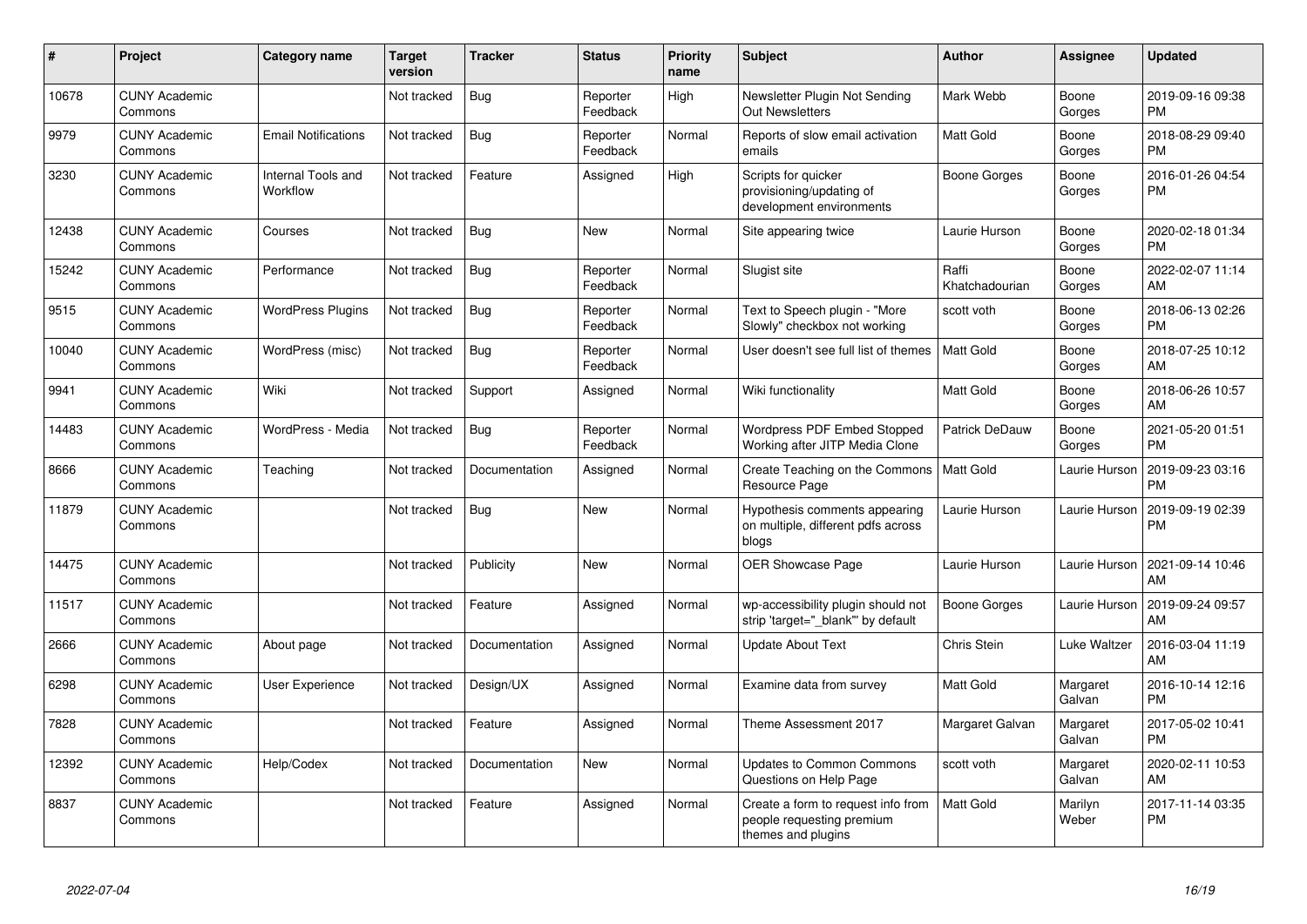| #     | <b>Project</b>                  | <b>Category name</b>           | <b>Target</b><br>version | <b>Tracker</b> | <b>Status</b>        | <b>Priority</b><br>name | <b>Subject</b>                                                                        | <b>Author</b>           | Assignee           | <b>Updated</b>                |
|-------|---------------------------------|--------------------------------|--------------------------|----------------|----------------------|-------------------------|---------------------------------------------------------------------------------------|-------------------------|--------------------|-------------------------------|
| 10678 | <b>CUNY Academic</b><br>Commons |                                | Not tracked              | Bug            | Reporter<br>Feedback | High                    | Newsletter Plugin Not Sending<br><b>Out Newsletters</b>                               | Mark Webb               | Boone<br>Gorges    | 2019-09-16 09:38<br><b>PM</b> |
| 9979  | <b>CUNY Academic</b><br>Commons | <b>Email Notifications</b>     | Not tracked              | Bug            | Reporter<br>Feedback | Normal                  | Reports of slow email activation<br>emails                                            | <b>Matt Gold</b>        | Boone<br>Gorges    | 2018-08-29 09:40<br><b>PM</b> |
| 3230  | <b>CUNY Academic</b><br>Commons | Internal Tools and<br>Workflow | Not tracked              | Feature        | Assigned             | High                    | Scripts for quicker<br>provisioning/updating of<br>development environments           | Boone Gorges            | Boone<br>Gorges    | 2016-01-26 04:54<br><b>PM</b> |
| 12438 | <b>CUNY Academic</b><br>Commons | Courses                        | Not tracked              | <b>Bug</b>     | New                  | Normal                  | Site appearing twice                                                                  | Laurie Hurson           | Boone<br>Gorges    | 2020-02-18 01:34<br><b>PM</b> |
| 15242 | <b>CUNY Academic</b><br>Commons | Performance                    | Not tracked              | Bug            | Reporter<br>Feedback | Normal                  | Slugist site                                                                          | Raffi<br>Khatchadourian | Boone<br>Gorges    | 2022-02-07 11:14<br>AM        |
| 9515  | <b>CUNY Academic</b><br>Commons | <b>WordPress Plugins</b>       | Not tracked              | <b>Bug</b>     | Reporter<br>Feedback | Normal                  | Text to Speech plugin - "More<br>Slowly" checkbox not working                         | scott voth              | Boone<br>Gorges    | 2018-06-13 02:26<br><b>PM</b> |
| 10040 | <b>CUNY Academic</b><br>Commons | WordPress (misc)               | Not tracked              | Bug            | Reporter<br>Feedback | Normal                  | User doesn't see full list of themes                                                  | <b>Matt Gold</b>        | Boone<br>Gorges    | 2018-07-25 10:12<br>AM        |
| 9941  | <b>CUNY Academic</b><br>Commons | Wiki                           | Not tracked              | Support        | Assigned             | Normal                  | Wiki functionality                                                                    | <b>Matt Gold</b>        | Boone<br>Gorges    | 2018-06-26 10:57<br>AM        |
| 14483 | <b>CUNY Academic</b><br>Commons | WordPress - Media              | Not tracked              | Bug            | Reporter<br>Feedback | Normal                  | Wordpress PDF Embed Stopped<br>Working after JITP Media Clone                         | Patrick DeDauw          | Boone<br>Gorges    | 2021-05-20 01:51<br><b>PM</b> |
| 8666  | <b>CUNY Academic</b><br>Commons | Teaching                       | Not tracked              | Documentation  | Assigned             | Normal                  | Create Teaching on the Commons<br>Resource Page                                       | <b>Matt Gold</b>        | Laurie Hurson      | 2019-09-23 03:16<br><b>PM</b> |
| 11879 | <b>CUNY Academic</b><br>Commons |                                | Not tracked              | Bug            | <b>New</b>           | Normal                  | Hypothesis comments appearing<br>on multiple, different pdfs across<br>blogs          | Laurie Hurson           | Laurie Hurson      | 2019-09-19 02:39<br><b>PM</b> |
| 14475 | <b>CUNY Academic</b><br>Commons |                                | Not tracked              | Publicity      | <b>New</b>           | Normal                  | OER Showcase Page                                                                     | Laurie Hurson           | Laurie Hurson      | 2021-09-14 10:46<br>AM        |
| 11517 | <b>CUNY Academic</b><br>Commons |                                | Not tracked              | Feature        | Assigned             | Normal                  | wp-accessibility plugin should not<br>strip 'target=" blank" by default               | Boone Gorges            | Laurie Hurson      | 2019-09-24 09:57<br>AM        |
| 2666  | <b>CUNY Academic</b><br>Commons | About page                     | Not tracked              | Documentation  | Assigned             | Normal                  | <b>Update About Text</b>                                                              | Chris Stein             | Luke Waltzer       | 2016-03-04 11:19<br>AM        |
| 6298  | <b>CUNY Academic</b><br>Commons | User Experience                | Not tracked              | Design/UX      | Assigned             | Normal                  | Examine data from survey                                                              | <b>Matt Gold</b>        | Margaret<br>Galvan | 2016-10-14 12:16<br><b>PM</b> |
| 7828  | <b>CUNY Academic</b><br>Commons |                                | Not tracked              | Feature        | Assigned             | Normal                  | Theme Assessment 2017                                                                 | Margaret Galvan         | Margaret<br>Galvan | 2017-05-02 10:41<br><b>PM</b> |
| 12392 | <b>CUNY Academic</b><br>Commons | Help/Codex                     | Not tracked              | Documentation  | <b>New</b>           | Normal                  | Updates to Common Commons<br>Questions on Help Page                                   | scott voth              | Margaret<br>Galvan | 2020-02-11 10:53<br>AM        |
| 8837  | <b>CUNY Academic</b><br>Commons |                                | Not tracked              | Feature        | Assigned             | Normal                  | Create a form to request info from<br>people requesting premium<br>themes and plugins | <b>Matt Gold</b>        | Marilyn<br>Weber   | 2017-11-14 03:35<br><b>PM</b> |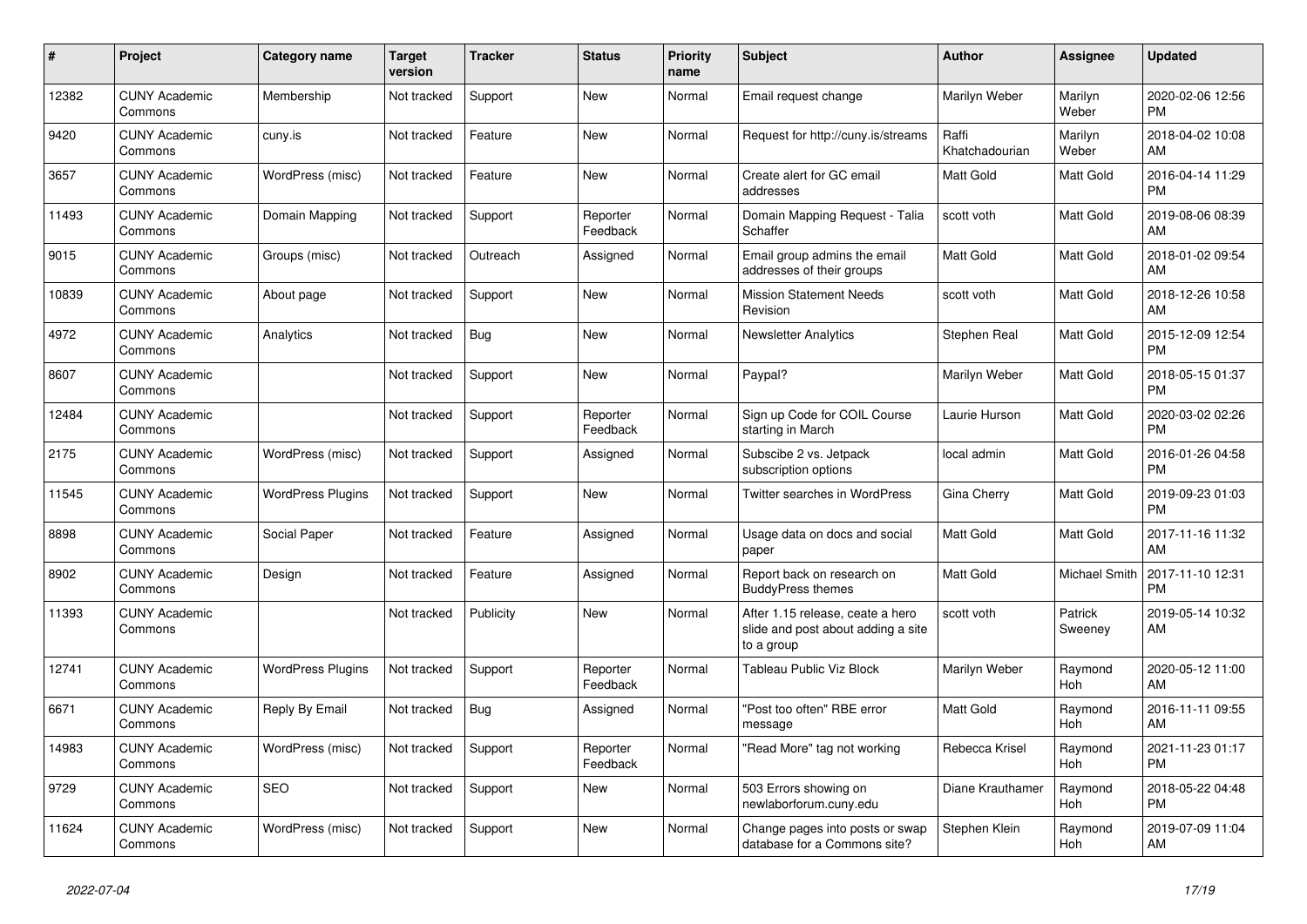| #     | <b>Project</b>                  | <b>Category name</b>     | Target<br>version | <b>Tracker</b> | <b>Status</b>        | Priority<br>name | <b>Subject</b>                                                                       | <b>Author</b>           | Assignee           | <b>Updated</b>                |
|-------|---------------------------------|--------------------------|-------------------|----------------|----------------------|------------------|--------------------------------------------------------------------------------------|-------------------------|--------------------|-------------------------------|
| 12382 | <b>CUNY Academic</b><br>Commons | Membership               | Not tracked       | Support        | New                  | Normal           | Email request change                                                                 | Marilyn Weber           | Marilyn<br>Weber   | 2020-02-06 12:56<br><b>PM</b> |
| 9420  | <b>CUNY Academic</b><br>Commons | cuny.is                  | Not tracked       | Feature        | <b>New</b>           | Normal           | Request for http://cuny.is/streams                                                   | Raffi<br>Khatchadourian | Marilyn<br>Weber   | 2018-04-02 10:08<br>AM        |
| 3657  | <b>CUNY Academic</b><br>Commons | WordPress (misc)         | Not tracked       | Feature        | <b>New</b>           | Normal           | Create alert for GC email<br>addresses                                               | Matt Gold               | Matt Gold          | 2016-04-14 11:29<br><b>PM</b> |
| 11493 | <b>CUNY Academic</b><br>Commons | Domain Mapping           | Not tracked       | Support        | Reporter<br>Feedback | Normal           | Domain Mapping Request - Talia<br>Schaffer                                           | scott voth              | <b>Matt Gold</b>   | 2019-08-06 08:39<br>AM        |
| 9015  | <b>CUNY Academic</b><br>Commons | Groups (misc)            | Not tracked       | Outreach       | Assigned             | Normal           | Email group admins the email<br>addresses of their groups                            | <b>Matt Gold</b>        | <b>Matt Gold</b>   | 2018-01-02 09:54<br>AM        |
| 10839 | <b>CUNY Academic</b><br>Commons | About page               | Not tracked       | Support        | New                  | Normal           | <b>Mission Statement Needs</b><br>Revision                                           | scott voth              | Matt Gold          | 2018-12-26 10:58<br>AM        |
| 4972  | <b>CUNY Academic</b><br>Commons | Analytics                | Not tracked       | Bug            | New                  | Normal           | <b>Newsletter Analytics</b>                                                          | Stephen Real            | <b>Matt Gold</b>   | 2015-12-09 12:54<br><b>PM</b> |
| 8607  | <b>CUNY Academic</b><br>Commons |                          | Not tracked       | Support        | <b>New</b>           | Normal           | Paypal?                                                                              | Marilyn Weber           | Matt Gold          | 2018-05-15 01:37<br><b>PM</b> |
| 12484 | <b>CUNY Academic</b><br>Commons |                          | Not tracked       | Support        | Reporter<br>Feedback | Normal           | Sign up Code for COIL Course<br>starting in March                                    | Laurie Hurson           | Matt Gold          | 2020-03-02 02:26<br><b>PM</b> |
| 2175  | <b>CUNY Academic</b><br>Commons | WordPress (misc)         | Not tracked       | Support        | Assigned             | Normal           | Subscibe 2 vs. Jetpack<br>subscription options                                       | local admin             | <b>Matt Gold</b>   | 2016-01-26 04:58<br><b>PM</b> |
| 11545 | <b>CUNY Academic</b><br>Commons | <b>WordPress Plugins</b> | Not tracked       | Support        | <b>New</b>           | Normal           | <b>Twitter searches in WordPress</b>                                                 | Gina Cherry             | <b>Matt Gold</b>   | 2019-09-23 01:03<br><b>PM</b> |
| 8898  | <b>CUNY Academic</b><br>Commons | Social Paper             | Not tracked       | Feature        | Assigned             | Normal           | Usage data on docs and social<br>paper                                               | Matt Gold               | <b>Matt Gold</b>   | 2017-11-16 11:32<br>AM        |
| 8902  | <b>CUNY Academic</b><br>Commons | Design                   | Not tracked       | Feature        | Assigned             | Normal           | Report back on research on<br><b>BuddyPress themes</b>                               | <b>Matt Gold</b>        | Michael Smith      | 2017-11-10 12:31<br><b>PM</b> |
| 11393 | <b>CUNY Academic</b><br>Commons |                          | Not tracked       | Publicity      | <b>New</b>           | Normal           | After 1.15 release, ceate a hero<br>slide and post about adding a site<br>to a group | scott voth              | Patrick<br>Sweeney | 2019-05-14 10:32<br>AM        |
| 12741 | <b>CUNY Academic</b><br>Commons | <b>WordPress Plugins</b> | Not tracked       | Support        | Reporter<br>Feedback | Normal           | <b>Tableau Public Viz Block</b>                                                      | Marilyn Weber           | Raymond<br>Hoh     | 2020-05-12 11:00<br>AM        |
| 6671  | <b>CUNY Academic</b><br>Commons | Reply By Email           | Not tracked       | Bug            | Assigned             | Normal           | "Post too often" RBE error<br>message                                                | <b>Matt Gold</b>        | Raymond<br>Hoh     | 2016-11-11 09:55<br>AM        |
| 14983 | <b>CUNY Academic</b><br>Commons | WordPress (misc)         | Not tracked       | Support        | Reporter<br>Feedback | Normal           | "Read More" tag not working                                                          | Rebecca Krisel          | Raymond<br>Hoh     | 2021-11-23 01:17<br><b>PM</b> |
| 9729  | <b>CUNY Academic</b><br>Commons | <b>SEO</b>               | Not tracked       | Support        | New                  | Normal           | 503 Errors showing on<br>newlaborforum.cuny.edu                                      | Diane Krauthamer        | Raymond<br>Hoh     | 2018-05-22 04:48<br><b>PM</b> |
| 11624 | <b>CUNY Academic</b><br>Commons | WordPress (misc)         | Not tracked       | Support        | <b>New</b>           | Normal           | Change pages into posts or swap<br>database for a Commons site?                      | Stephen Klein           | Raymond<br>Hoh     | 2019-07-09 11:04<br>AM        |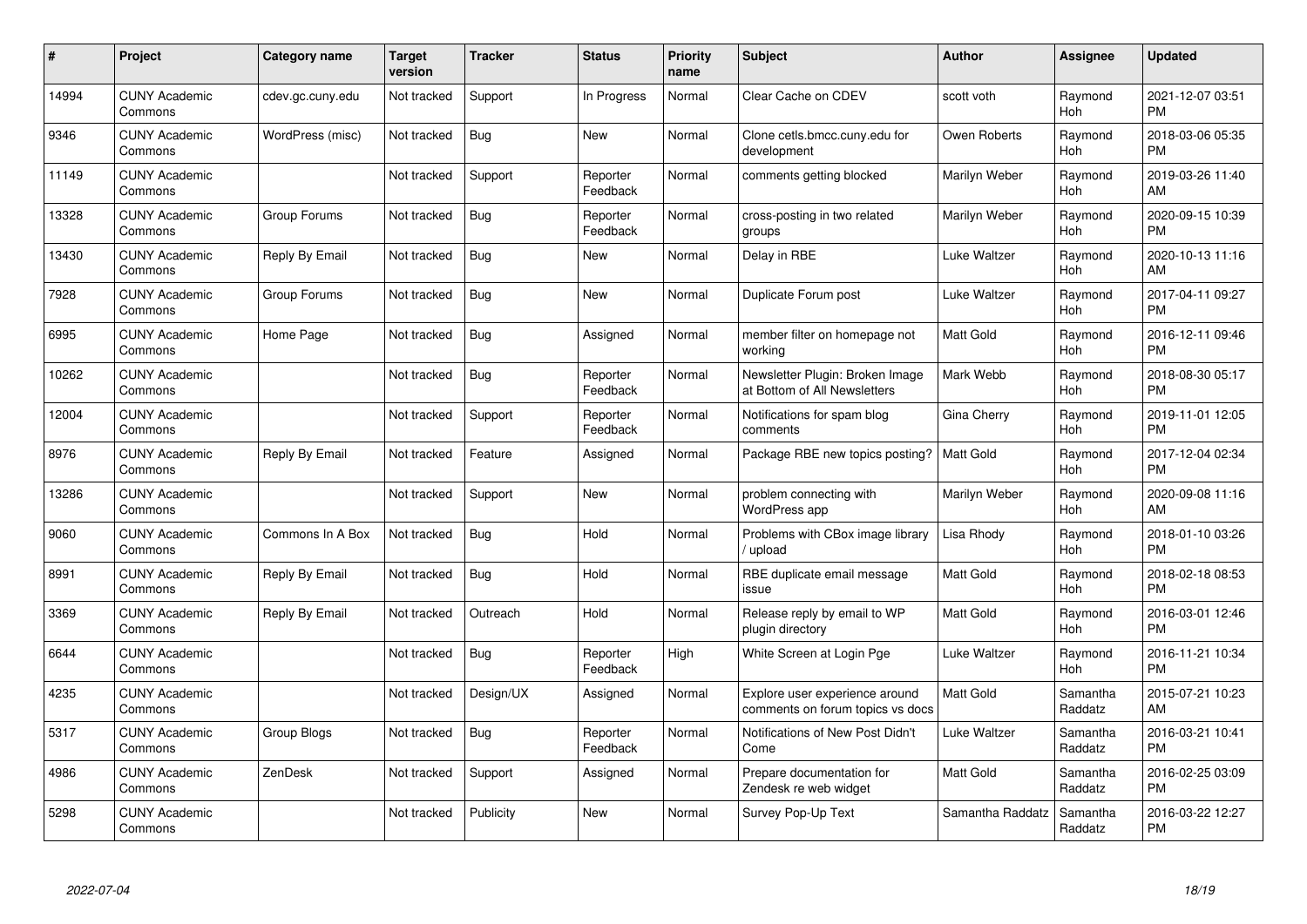| #     | Project                         | <b>Category name</b> | <b>Target</b><br>version | <b>Tracker</b> | <b>Status</b>        | <b>Priority</b><br>name | <b>Subject</b>                                                     | <b>Author</b>    | <b>Assignee</b>     | <b>Updated</b>                |
|-------|---------------------------------|----------------------|--------------------------|----------------|----------------------|-------------------------|--------------------------------------------------------------------|------------------|---------------------|-------------------------------|
| 14994 | <b>CUNY Academic</b><br>Commons | cdev.gc.cuny.edu     | Not tracked              | Support        | In Progress          | Normal                  | Clear Cache on CDEV                                                | scott voth       | Raymond<br>Hoh      | 2021-12-07 03:51<br><b>PM</b> |
| 9346  | <b>CUNY Academic</b><br>Commons | WordPress (misc)     | Not tracked              | Bug            | <b>New</b>           | Normal                  | Clone cetls.bmcc.cuny.edu for<br>development                       | Owen Roberts     | Raymond<br>Hoh      | 2018-03-06 05:35<br><b>PM</b> |
| 11149 | <b>CUNY Academic</b><br>Commons |                      | Not tracked              | Support        | Reporter<br>Feedback | Normal                  | comments getting blocked                                           | Marilyn Weber    | Raymond<br>Hoh      | 2019-03-26 11:40<br>AM        |
| 13328 | <b>CUNY Academic</b><br>Commons | Group Forums         | Not tracked              | Bug            | Reporter<br>Feedback | Normal                  | cross-posting in two related<br>groups                             | Marilyn Weber    | Raymond<br>Hoh      | 2020-09-15 10:39<br><b>PM</b> |
| 13430 | <b>CUNY Academic</b><br>Commons | Reply By Email       | Not tracked              | Bug            | New                  | Normal                  | Delay in RBE                                                       | Luke Waltzer     | Raymond<br>Hoh      | 2020-10-13 11:16<br>AM        |
| 7928  | <b>CUNY Academic</b><br>Commons | Group Forums         | Not tracked              | <b>Bug</b>     | <b>New</b>           | Normal                  | Duplicate Forum post                                               | Luke Waltzer     | Raymond<br>Hoh      | 2017-04-11 09:27<br><b>PM</b> |
| 6995  | <b>CUNY Academic</b><br>Commons | Home Page            | Not tracked              | Bug            | Assigned             | Normal                  | member filter on homepage not<br>working                           | <b>Matt Gold</b> | Raymond<br>Hoh      | 2016-12-11 09:46<br><b>PM</b> |
| 10262 | <b>CUNY Academic</b><br>Commons |                      | Not tracked              | Bug            | Reporter<br>Feedback | Normal                  | Newsletter Plugin: Broken Image<br>at Bottom of All Newsletters    | Mark Webb        | Raymond<br>Hoh      | 2018-08-30 05:17<br><b>PM</b> |
| 12004 | <b>CUNY Academic</b><br>Commons |                      | Not tracked              | Support        | Reporter<br>Feedback | Normal                  | Notifications for spam blog<br>comments                            | Gina Cherry      | Raymond<br>Hoh      | 2019-11-01 12:05<br><b>PM</b> |
| 8976  | <b>CUNY Academic</b><br>Commons | Reply By Email       | Not tracked              | Feature        | Assigned             | Normal                  | Package RBE new topics posting?                                    | Matt Gold        | Raymond<br>Hoh      | 2017-12-04 02:34<br><b>PM</b> |
| 13286 | <b>CUNY Academic</b><br>Commons |                      | Not tracked              | Support        | New                  | Normal                  | problem connecting with<br>WordPress app                           | Marilyn Weber    | Raymond<br>Hoh      | 2020-09-08 11:16<br>AM        |
| 9060  | <b>CUNY Academic</b><br>Commons | Commons In A Box     | Not tracked              | Bug            | Hold                 | Normal                  | Problems with CBox image library<br>upload                         | Lisa Rhody       | Raymond<br>Hoh      | 2018-01-10 03:26<br><b>PM</b> |
| 8991  | <b>CUNY Academic</b><br>Commons | Reply By Email       | Not tracked              | Bug            | Hold                 | Normal                  | RBE duplicate email message<br>issue                               | <b>Matt Gold</b> | Raymond<br>Hoh      | 2018-02-18 08:53<br><b>PM</b> |
| 3369  | <b>CUNY Academic</b><br>Commons | Reply By Email       | Not tracked              | Outreach       | Hold                 | Normal                  | Release reply by email to WP<br>plugin directory                   | <b>Matt Gold</b> | Raymond<br>Hoh      | 2016-03-01 12:46<br><b>PM</b> |
| 6644  | <b>CUNY Academic</b><br>Commons |                      | Not tracked              | Bug            | Reporter<br>Feedback | High                    | White Screen at Login Pge                                          | Luke Waltzer     | Raymond<br>Hoh      | 2016-11-21 10:34<br><b>PM</b> |
| 4235  | <b>CUNY Academic</b><br>Commons |                      | Not tracked              | Design/UX      | Assigned             | Normal                  | Explore user experience around<br>comments on forum topics vs docs | <b>Matt Gold</b> | Samantha<br>Raddatz | 2015-07-21 10:23<br>AM        |
| 5317  | <b>CUNY Academic</b><br>Commons | Group Blogs          | Not tracked              | Bug            | Reporter<br>Feedback | Normal                  | Notifications of New Post Didn't<br>Come                           | Luke Waltzer     | Samantha<br>Raddatz | 2016-03-21 10:41<br><b>PM</b> |
| 4986  | <b>CUNY Academic</b><br>Commons | ZenDesk              | Not tracked              | Support        | Assigned             | Normal                  | Prepare documentation for<br>Zendesk re web widget                 | Matt Gold        | Samantha<br>Raddatz | 2016-02-25 03:09<br><b>PM</b> |
| 5298  | <b>CUNY Academic</b><br>Commons |                      | Not tracked              | Publicity      | <b>New</b>           | Normal                  | Survey Pop-Up Text                                                 | Samantha Raddatz | Samantha<br>Raddatz | 2016-03-22 12:27<br><b>PM</b> |